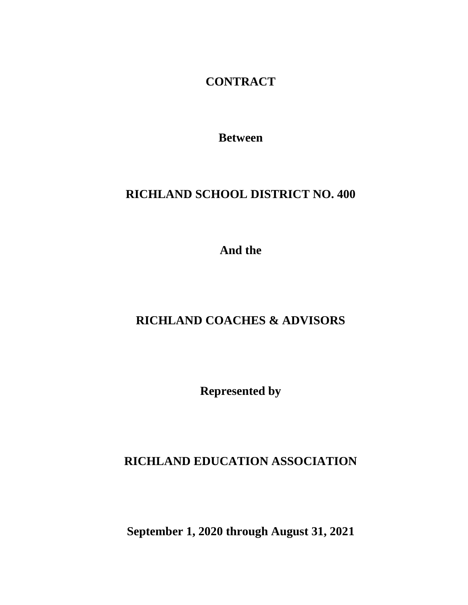**CONTRACT**

**Between**

## **RICHLAND SCHOOL DISTRICT NO. 400**

**And the**

## **RICHLAND COACHES & ADVISORS**

**Represented by**

## **RICHLAND EDUCATION ASSOCIATION**

**September 1, 2020 through August 31, 2021**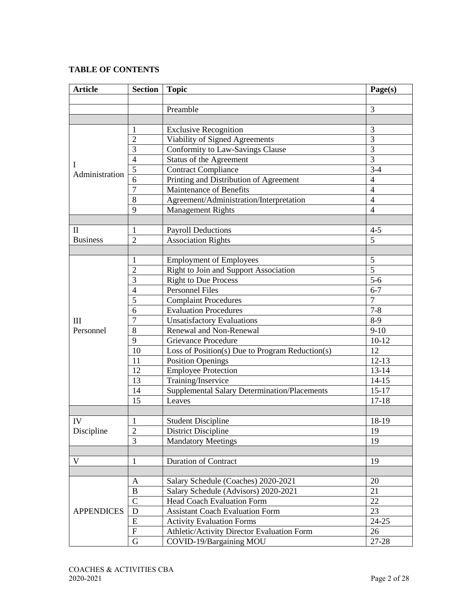### **TABLE OF CONTENTS**

| <b>Article</b>    | <b>Section</b> | <b>Topic</b>                                        | Page(s)        |  |  |
|-------------------|----------------|-----------------------------------------------------|----------------|--|--|
|                   |                |                                                     |                |  |  |
|                   |                | Preamble                                            | 3              |  |  |
|                   |                |                                                     |                |  |  |
|                   | 1              | <b>Exclusive Recognition</b>                        | 3              |  |  |
|                   | $\overline{c}$ | Viability of Signed Agreements                      | 3              |  |  |
|                   | 3              | Conformity to Law-Savings Clause                    | $\overline{3}$ |  |  |
|                   | $\overline{4}$ | Status of the Agreement                             | $\overline{3}$ |  |  |
| I                 | 5              | <b>Contract Compliance</b>                          | $3-4$          |  |  |
| Administration    | 6              | Printing and Distribution of Agreement              | $\overline{4}$ |  |  |
|                   | 7              | Maintenance of Benefits                             | $\overline{4}$ |  |  |
|                   | 8              | Agreement/Administration/Interpretation             | $\overline{4}$ |  |  |
|                   | 9              | <b>Management Rights</b>                            | $\overline{4}$ |  |  |
|                   |                |                                                     |                |  |  |
| $\mathbf{I}$      | 1              | <b>Payroll Deductions</b>                           | $4 - 5$        |  |  |
| <b>Business</b>   | $\overline{2}$ | <b>Association Rights</b>                           | $\overline{5}$ |  |  |
|                   |                |                                                     |                |  |  |
|                   | $\mathbf{1}$   | <b>Employment of Employees</b>                      | 5              |  |  |
|                   | $\overline{c}$ | Right to Join and Support Association               | $\overline{5}$ |  |  |
|                   | 3              | <b>Right to Due Process</b>                         | $5-6$          |  |  |
|                   | $\overline{4}$ | <b>Personnel Files</b>                              | $6 - 7$        |  |  |
|                   | 5              | <b>Complaint Procedures</b>                         | $\overline{7}$ |  |  |
|                   | 6              | <b>Evaluation Procedures</b>                        | $7 - 8$        |  |  |
| III               | 7              | <b>Unsatisfactory Evaluations</b>                   | $8-9$          |  |  |
| Personnel         | 8              | Renewal and Non-Renewal                             | $9-10$         |  |  |
|                   | 9              | <b>Grievance Procedure</b>                          | $10-12$        |  |  |
|                   | 10             | Loss of Position(s) Due to Program Reduction(s)     | 12             |  |  |
|                   | 11             | <b>Position Openings</b>                            | $12-13$        |  |  |
|                   | 12             | <b>Employee Protection</b>                          | $13 - 14$      |  |  |
|                   | 13             | Training/Inservice                                  | $14 - 15$      |  |  |
|                   | 14             | <b>Supplemental Salary Determination/Placements</b> | $15 - 17$      |  |  |
|                   | 15             | Leaves                                              | $17 - 18$      |  |  |
|                   |                |                                                     |                |  |  |
| IV                | 1              | <b>Student Discipline</b>                           | 18-19          |  |  |
| Discipline        | $\mathbf{2}$   | <b>District Discipline</b>                          | 19             |  |  |
|                   | 3              | <b>Mandatory Meetings</b>                           | 19             |  |  |
|                   |                |                                                     |                |  |  |
| V                 | $\mathbf{1}$   | <b>Duration of Contract</b>                         | 19             |  |  |
|                   |                |                                                     |                |  |  |
|                   | A              | Salary Schedule (Coaches) 2020-2021                 | 20             |  |  |
|                   | $\, {\bf B}$   | Salary Schedule (Advisors) 2020-2021                | 21             |  |  |
|                   | $\mathsf{C}$   | <b>Head Coach Evaluation Form</b>                   | 22             |  |  |
| <b>APPENDICES</b> | D              | <b>Assistant Coach Evaluation Form</b>              | 23             |  |  |
|                   | ${\bf E}$      | <b>Activity Evaluation Forms</b>                    | $24 - 25$      |  |  |
|                   | F              | Athletic/Activity Director Evaluation Form          | 26             |  |  |
|                   | G              | COVID-19/Bargaining MOU                             | 27-28          |  |  |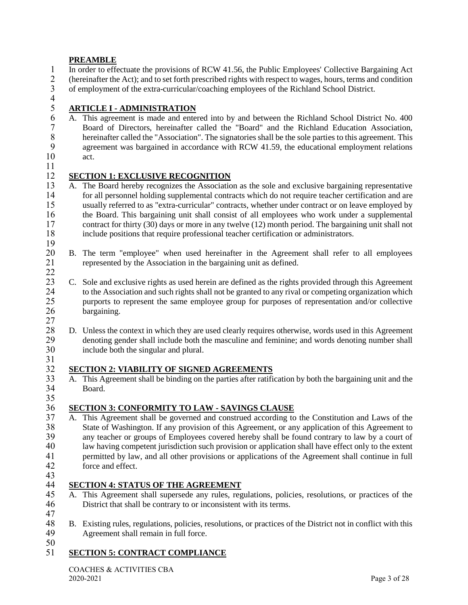## **PREAMBLE**

- 1 In order to effectuate the provisions of RCW 41.56, the Public Employees' Collective Bargaining Act 2 (hereinafter the Act); and to set forth prescribed rights with respect to wages, hours, terms and condition<br>3 of employment of the extra-curricular/coaching employees of the Richland School District. 3 of employment of the extra-curricular/coaching employees of the Richland School District.
- 
- $\frac{4}{5}$ 5 **ARTICLE I - ADMINISTRATION**
- 6 A. This agreement is made and entered into by and between the Richland School District No. 400 7 Board of Directors, hereinafter called the "Board" and the Richland Education Association, 8 168 8 herelian after called the "Association". The signatures shall be the sole parties to this agreement. This agreement was horizontal in accordance with RCW 41.59 the educational employment relations. 9 agreement was bargained in accordance with RCW 41.59, the educational employment relations act. act.
- 11

## 12 **SECTION 1: EXCLUSIVE RECOGNITION**<br>13 A. The Board hereby recognizes the Association

- A. The Board hereby recognizes the Association as the sole and exclusive bargaining representative 14 for all personnel holding supplemental contracts which do not require teacher certification and are 15 usually referred to as "extra-curricular" contracts, whether under contract or on leave employed by 16 the Board. This bargaining unit shall consist of all employees who work under a supplemental 17 contract for thirty (30) days or more in any twelve (12) month period. The bargaining unit shall not include positions that require professional teacher certification or administrators. include positions that require professional teacher certification or administrators.
- $\frac{19}{20}$ 20 B. The term "employee" when used hereinafter in the Agreement shall refer to all employees represented by the Association in the bargaining unit as defined. represented by the Association in the bargaining unit as defined.
- $rac{22}{23}$ 23 C. Sole and exclusive rights as used herein are defined as the rights provided through this Agreement to the Association and such rights shall not be granted to any rival or competing organization which 24 to the Association and such rights shall not be granted to any rival or competing organization which 25 purports to represent the same employee group for purposes of representation and/or collective hargaining. bargaining.
- $\frac{27}{28}$ 28 D. Unless the context in which they are used clearly requires otherwise, words used in this Agreement 29 denoting gender shall include both the masculine and feminine; and words denoting number shall 30 include both the singular and plural. 31
	-
- **SECTION 2: VIABILITY OF SIGNED AGREEMENTS**<br>33 A. This Agreement shall be binding on the parties after ratifi-33 A. This Agreement shall be binding on the parties after ratification by both the bargaining unit and the Board.

## **SECTION 3: CONFORMITY TO LAW - SAVINGS CLAUSE**<br>37 A. This Agreement shall be governed and construed according to

- 37 A. This Agreement shall be governed and construed according to the Constitution and Laws of the<br>38 State of Washington. If any provision of this Agreement, or any application of this Agreement to State of Washington. If any provision of this Agreement, or any application of this Agreement to 39 any teacher or groups of Employees covered hereby shall be found contrary to law by a court of law having competent iurisdiction such provision or application shall have effect only to the extent 40 law having competent jurisdiction such provision or application shall have effect only to the extent<br>41 extent of the Agreement shall continue in full 41 permitted by law, and all other provisions or applications of the Agreement shall continue in full 42 force and effect.
- 43

 $\frac{35}{36}$ 

## 44 **SECTION 4: STATUS OF THE AGREEMENT**

- 45 A. This Agreement shall supersede any rules, regulations, policies, resolutions, or practices of the 46 District that shall be contrary to or inconsistent with its terms.
- 47<br>48 48 B. Existing rules, regulations, policies, resolutions, or practices of the District not in conflict with this 49 Agreement shall remain in full force.
- $\frac{50}{51}$ 
	- **SECTION 5: CONTRACT COMPLIANCE**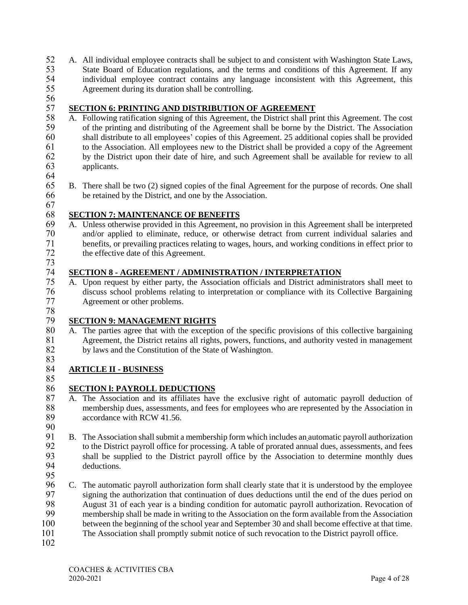- 52 A. All individual employee contracts shall be subject to and consistent with Washington State Laws,<br>53 State Board of Education regulations and the terms and conditions of this Agreement If any State Board of Education regulations, and the terms and conditions of this Agreement. If any 54 individual employee contract contains any language inconsistent with this Agreement, this Agreement during its duration shall be controlling. Agreement during its duration shall be controlling.
- 56

# 57 **SECTION 6: PRINTING AND DISTRIBUTION OF AGREEMENT**<br>58 A. Following ratification signing of this Agreement, the District shall pr

- 58 A. Following ratification signing of this Agreement, the District shall print this Agreement. The cost 59 of the printing and distributing of the Agreement shall be borne by the District. The Association 60 shall distribute to all employees' copies of this Agreement. 25 additional copies shall be provided 61 to the Association. All employees new to the District shall be provided a copy of the Agreement 62 by the District upon their date of hire, and such Agreement shall be available for review to all by the District upon their date of hire, and such Agreement shall be available for review to all 63 applicants.
- 64<br>65
- 65 B. There shall be two (2) signed copies of the final Agreement for the purpose of records. One shall 66 be retained by the District, and one by the Association.
- 67

## 68 **SECTION 7: MAINTENANCE OF BENEFITS**

69 A. Unless otherwise provided in this Agreement, no provision in this Agreement shall be interpreted and/or applied to eliminate, reduce, or otherwise detract from current individual salaries and 71 benefits, or prevailing practices relating to wages, hours, and working conditions in effect prior to<br>72 the effective date of this Agreement. the effective date of this Agreement. 73

## 74 **SECTION 8 - AGREEMENT / ADMINISTRATION / INTERPRETATION**<br>75 A. Upon request by either party, the Association officials and District adminis

- 75 A. Upon request by either party, the Association officials and District administrators shall meet to 76 discuss school problems relating to interpretation or compliance with its Collective Bargaining 77 Agreement or other problems.
- 78

## 79 **SECTION 9: MANAGEMENT RIGHTS**<br>80 A. The parties agree that with the exceptic

80 A. The parties agree that with the exception of the specific provisions of this collective bargaining 81 Agreement, the District retains all rights, powers, functions, and authority vested in management 82 by laws and the Constitution of the State of Washington.

### 83<br>84 84 **ARTICLE II - BUSINESS**

85

## 86 **SECTION l: PAYROLL DEDUCTIONS**

- 87 A. The Association and its affiliates have the exclusive right of automatic payroll deduction of membership dues, assessments, and fees for employees who are represented by the Association in 88 membership dues, assessments, and fees for employees who are represented by the Association in<br>89 accordance with RCW 41.56. accordance with RCW 41.56. 90
- 91 B. The Association shall submit a membership form which includes an automatic payroll authorization<br>92 to the District payroll office for processing. A table of prorated annual dues, assessments, and fees 92 to the District payroll office for processing. A table of prorated annual dues, assessments, and fees<br>93 shall be supplied to the District payroll office by the Association to determine monthly dues 93 shall be supplied to the District payroll office by the Association to determine monthly dues deductions. deductions. 95
- 96 C. The automatic payroll authorization form shall clearly state that it is understood by the employee 97 signing the authorization that continuation of dues deductions until the end of the dues period on<br>98 August 31 of each vear is a binding condition for automatic payroll authorization. Revocation of 98 August 31 of each year is a binding condition for automatic payroll authorization. Revocation of membership shall be made in writing to the Association on the form available from the Association membership shall be made in writing to the Association on the form available from the Association 100 between the beginning of the school year and September 30 and shall become effective at that time. 101 The Association shall promptly submit notice of such revocation to the District payroll office.
- 102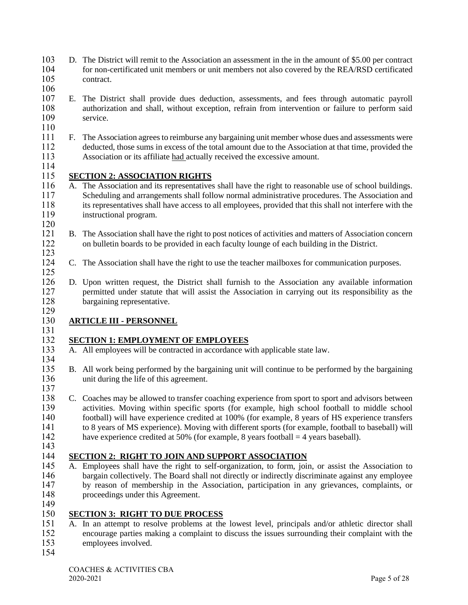- D. The District will remit to the Association an assessment in the in the amount of \$5.00 per contract for non-certificated unit members or unit members not also covered by the REA/RSD certificated contract.
- 
- E. The District shall provide dues deduction, assessments, and fees through automatic payroll 108 authorization and shall, without exception, refrain from intervention or failure to perform said<br>109 service.
- 
- F. The Association agrees to reimburse any bargaining unit member whose dues and assessments were deducted, those sums in excess of the total amount due to the Association at that time, provided the Association or its affiliate had actually received the excessive amount.
- $\frac{114}{115}$

## 115 **SECTION 2: ASSOCIATION RIGHTS**<br>116 A. The Association and its representatives

- A. The Association and its representatives shall have the right to reasonable use of school buildings. Scheduling and arrangements shall follow normal administrative procedures. The Association and its representatives shall have access to all employees, provided that this shall not interfere with the instructional program.
- $\frac{120}{121}$ 1211 B. The Association shall have the right to post notices of activities and matters of Association concern on bulletin boards to be provided in each faculty lounge of each building in the District.
- $\frac{123}{124}$  C. The Association shall have the right to use the teacher mailboxes for communication purposes.
- D. Upon written request, the District shall furnish to the Association any available information permitted under statute that will assist the Association in carrying out its responsibility as the bargaining representative.

## $\frac{129}{130}$ **ARTICLE III - PERSONNEL**

## **SECTION 1: EMPLOYMENT OF EMPLOYEES**

- A. All employees will be contracted in accordance with applicable state law.
- 135 B. All work being performed by the bargaining unit will continue to be performed by the bargaining unit during the life of this agreement. unit during the life of this agreement.
- 138 C. Coaches may be allowed to transfer coaching experience from sport to sport and advisors between<br>139 activities. Moving within specific sports (for example, high school football to middle school 139 activities. Moving within specific sports (for example, high school football to middle school 140 football) will have experience credited at 100% (for example, 8 years of HS experience transfers football) will have experience credited at 100% (for example, 8 years of HS experience transfers to 8 years of MS experience). Moving with different sports (for example, football to baseball) will 142 have experience credited at 50% (for example, 8 years football = 4 years baseball).
- 

## **SECTION 2: RIGHT TO JOIN AND SUPPORT ASSOCIATION**

145 A. Employees shall have the right to self-organization, to form, join, or assist the Association to bargain collectively. The Board shall not directly or indirectly discriminate against any employee bargain collectively. The Board shall not directly or indirectly discriminate against any employee by reason of membership in the Association, participation in any grievances, complaints, or proceedings under this Agreement.

### $\frac{149}{150}$ **SECTION 3: RIGHT TO DUE PROCESS**

 A. In an attempt to resolve problems at the lowest level, principals and/or athletic director shall encourage parties making a complaint to discuss the issues surrounding their complaint with the employees involved.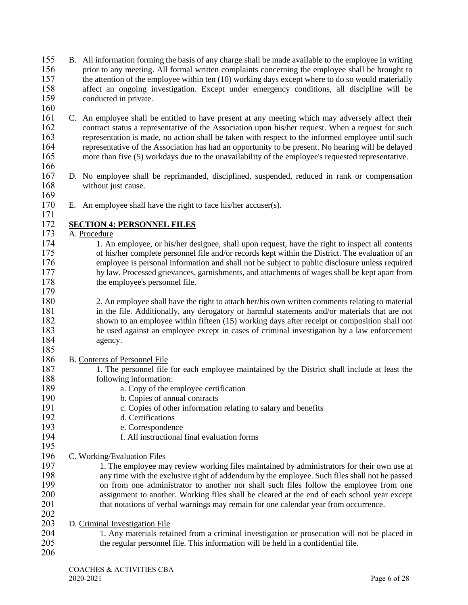- B. All information forming the basis of any charge shall be made available to the employee in writing prior to any meeting. All formal written complaints concerning the employee shall be brought to 157 the attention of the employee within ten (10) working days except where to do so would materially<br>158 affect an ongoing investigation. Except under emergency conditions, all discipline will be affect an ongoing investigation. Except under emergency conditions, all discipline will be conducted in private.
- C. An employee shall be entitled to have present at any meeting which may adversely affect their contract status a representative of the Association upon his/her request. When a request for such representation is made, no action shall be taken with respect to the informed employee until such representative of the Association has had an opportunity to be present. No hearing will be delayed more than five (5) workdays due to the unavailability of the employee's requested representative.
- D. No employee shall be reprimanded, disciplined, suspended, reduced in rank or compensation 168 without just cause.
- E. An employee shall have the right to face his/her accuser(s).

## 172 **SECTION 4: PERSONNEL FILES**<br>173 A. Procedure

A. Procedure

- 174 1. An employee, or his/her designee, shall upon request, have the right to inspect all contents<br>175 of his/her complete personnel file and/or records kept within the District. The evaluation of an of his/her complete personnel file and/or records kept within the District. The evaluation of an employee is personal information and shall not be subject to public disclosure unless required by law. Processed grievances, garnishments, and attachments of wages shall be kept apart from 178 the employee's personnel file.
- 2. An employee shall have the right to attach her/his own written comments relating to material in the file. Additionally, any derogatory or harmful statements and/or materials that are not shown to an employee within fifteen (15) working days after receipt or composition shall not be used against an employee except in cases of criminal investigation by a law enforcement agency.

## B. Contents of Personnel File

- 187 1. The personnel file for each employee maintained by the District shall include at least the following information: following information:
- a. Copy of the employee certification
- 190 b. Copies of annual contracts<br>191 c. Copies of other information
- 191 c. Copies of other information relating to salary and benefits<br>192 d. Certifications
- d. Certifications
- e. Correspondence
- f. All instructional final evaluation forms
- C. Working/Evaluation Files
- 197 1. The employee may review working files maintained by administrators for their own use at any time with the exclusive right of addendum by the employee. Such files shall not he passed any time with the exclusive right of addendum by the employee. Such files shall not he passed on from one administrator to another nor shall such files follow the employee from one assignment to another. Working files shall be cleared at the end of each school year except that notations of verbal warnings may remain for one calendar year from occurrence.
- D. Criminal Investigation File
- 1. Any materials retained from a criminal investigation or prosecution will not be placed in the regular personnel file. This information will be held in a confidential file.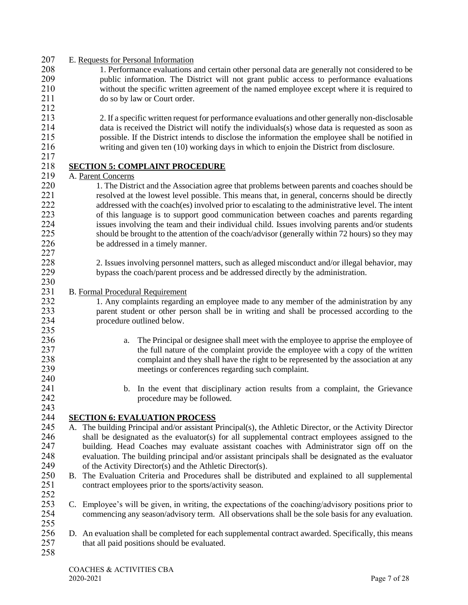| 207        | E. Requests for Personal Information                                                                                                                 |
|------------|------------------------------------------------------------------------------------------------------------------------------------------------------|
| 208        | 1. Performance evaluations and certain other personal data are generally not considered to be                                                        |
| 209        | public information. The District will not grant public access to performance evaluations                                                             |
| 210        | without the specific written agreement of the named employee except where it is required to                                                          |
| 211        | do so by law or Court order.                                                                                                                         |
| 212        |                                                                                                                                                      |
| 213        | 2. If a specific written request for performance evaluations and other generally non-disclosable                                                     |
| 214        | data is received the District will notify the individuals(s) whose data is requested as soon as                                                      |
| 215        | possible. If the District intends to disclose the information the employee shall be notified in                                                      |
| 216        | writing and given ten (10) working days in which to enjoin the District from disclosure.                                                             |
| 217        |                                                                                                                                                      |
| 218        | <b>SECTION 5: COMPLAINT PROCEDURE</b>                                                                                                                |
| 219        | A. Parent Concerns                                                                                                                                   |
| 220        | 1. The District and the Association agree that problems between parents and coaches should be                                                        |
| 221        | resolved at the lowest level possible. This means that, in general, concerns should be directly                                                      |
| 222        | addressed with the coach(es) involved prior to escalating to the administrative level. The intent                                                    |
| 223        | of this language is to support good communication between coaches and parents regarding                                                              |
| 224        | issues involving the team and their individual child. Issues involving parents and/or students                                                       |
| 225        | should be brought to the attention of the coach/advisor (generally within 72 hours) so they may                                                      |
| 226        | be addressed in a timely manner.                                                                                                                     |
| 227        |                                                                                                                                                      |
| 228        | 2. Issues involving personnel matters, such as alleged misconduct and/or illegal behavior, may                                                       |
| 229        | bypass the coach/parent process and be addressed directly by the administration.                                                                     |
| 230        |                                                                                                                                                      |
| 231        | <b>B.</b> Formal Procedural Requirement                                                                                                              |
| 232        | 1. Any complaints regarding an employee made to any member of the administration by any                                                              |
| 233        | parent student or other person shall be in writing and shall be processed according to the                                                           |
| 234        | procedure outlined below.                                                                                                                            |
| 235        |                                                                                                                                                      |
| 236        | The Principal or designee shall meet with the employee to apprise the employee of<br>a.                                                              |
| 237        | the full nature of the complaint provide the employee with a copy of the written                                                                     |
| 238        | complaint and they shall have the right to be represented by the association at any                                                                  |
| 239        | meetings or conferences regarding such complaint.                                                                                                    |
| 240        |                                                                                                                                                      |
| 241        | b. In the event that disciplinary action results from a complaint, the Grievance                                                                     |
| 242        | procedure may be followed.                                                                                                                           |
| 243        |                                                                                                                                                      |
| 244        | <b>SECTION 6: EVALUATION PROCESS</b>                                                                                                                 |
| 245        | A. The building Principal and/or assistant Principal(s), the Athletic Director, or the Activity Director                                             |
| 246        | shall be designated as the evaluator(s) for all supplemental contract employees assigned to the                                                      |
| 247        | building. Head Coaches may evaluate assistant coaches with Administrator sign off on the                                                             |
| 248        | evaluation. The building principal and/or assistant principals shall be designated as the evaluator                                                  |
| 249        | of the Activity Director(s) and the Athletic Director(s).                                                                                            |
| 250        | B. The Evaluation Criteria and Procedures shall be distributed and explained to all supplemental                                                     |
| 251        | contract employees prior to the sports/activity season.                                                                                              |
| 252        |                                                                                                                                                      |
| 253        | C. Employee's will be given, in writing, the expectations of the coaching/advisory positions prior to                                                |
| 254        | commencing any season/advisory term. All observations shall be the sole basis for any evaluation.                                                    |
| 255<br>256 |                                                                                                                                                      |
| 257        | D. An evaluation shall be completed for each supplemental contract awarded. Specifically, this means<br>that all paid positions should be evaluated. |
| 258        |                                                                                                                                                      |
|            |                                                                                                                                                      |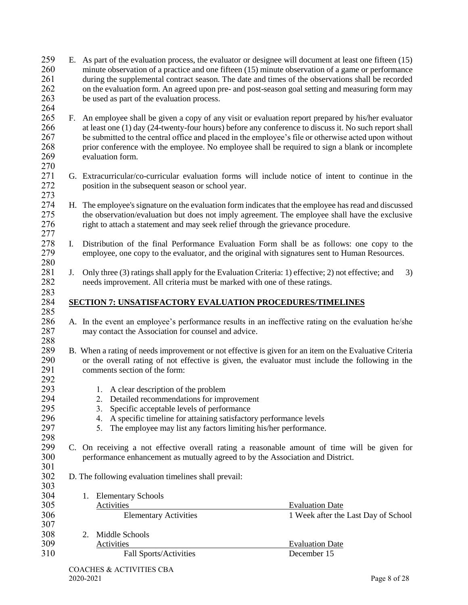- E. As part of the evaluation process, the evaluator or designee will document at least one fifteen (15) minute observation of a practice and one fifteen (15) minute observation of a game or performance 261 during the supplemental contract season. The date and times of the observations shall be recorded<br>262 on the evaluation form. An agreed upon pre- and post-season goal setting and measuring form may on the evaluation form. An agreed upon pre- and post-season goal setting and measuring form may be used as part of the evaluation process.
- $\frac{264}{265}$  F. An employee shall be given a copy of any visit or evaluation report prepared by his/her evaluator at least one (1) day (24-twenty-four hours) before any conference to discuss it. No such report shall be submitted to the central office and placed in the employee's file or otherwise acted upon without prior conference with the employee. No employee shall be required to sign a blank or incomplete evaluation form.
- 

- G. Extracurricular/co-curricular evaluation forms will include notice of intent to continue in the position in the subsequent season or school year.
- H. The employee's signature on the evaluation form indicates that the employee has read and discussed the observation/evaluation but does not imply agreement. The employee shall have the exclusive right to attach a statement and may seek relief through the grievance procedure.
- 278 I. Distribution of the final Performance Evaluation Form shall be as follows: one copy to the employee, one copy to the evaluator, and the original with signatures sent to Human Resources. employee, one copy to the evaluator, and the original with signatures sent to Human Resources.
- 281 J. Only three (3) ratings shall apply for the Evaluation Criteria: 1) effective; 2) not effective; and 3) needs improvement. All criteria must be marked with one of these ratings.

### **SECTION 7: UNSATISFACTORY EVALUATION PROCEDURES/TIMELINES**

- A. In the event an employee's performance results in an ineffective rating on the evaluation he/she may contact the Association for counsel and advice.
- 288<br>289 B. When a rating of needs improvement or not effective is given for an item on the Evaluative Criteria or the overall rating of not effective is given, the evaluator must include the following in the comments section of the form:
- 1. A clear description of the problem
- 294 2. Detailed recommendations for improvement<br>295 3. Specific acceptable levels of performance
	- 3. Specific acceptable levels of performance
- 4. A specific timeline for attaining satisfactory performance levels
- 5. The employee may list any factors limiting his/her performance.
- 298<br>299 C. On receiving a not effective overall rating a reasonable amount of time will be given for performance enhancement as mutually agreed to by the Association and District.
- D. The following evaluation timelines shall prevail:

| JUJ. |                               |                                     |
|------|-------------------------------|-------------------------------------|
| 304  | <b>Elementary Schools</b>     |                                     |
| 305  | Activities                    | <b>Evaluation Date</b>              |
| 306  | <b>Elementary Activities</b>  | 1 Week after the Last Day of School |
| 307  |                               |                                     |
| 308  | Middle Schools                |                                     |
| 309  | Activities                    | <b>Evaluation Date</b>              |
| 310  | <b>Fall Sports/Activities</b> | December 15                         |
|      |                               |                                     |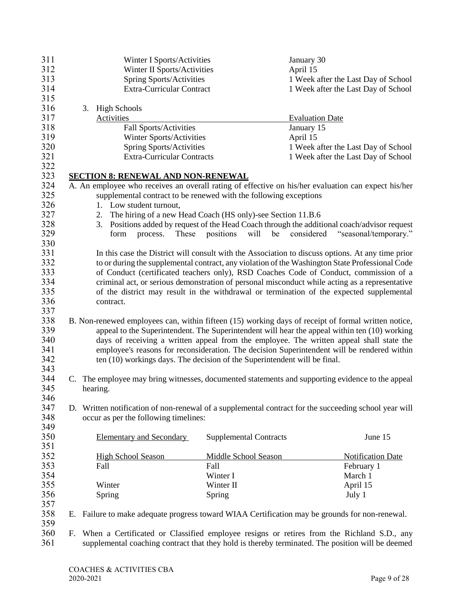| 311 |    |          | Winter I Sports/Activities                                                |                               | January 30                                                                                            |  |
|-----|----|----------|---------------------------------------------------------------------------|-------------------------------|-------------------------------------------------------------------------------------------------------|--|
| 312 |    |          | Winter II Sports/Activities                                               |                               | April 15                                                                                              |  |
| 313 |    |          | <b>Spring Sports/Activities</b>                                           |                               | 1 Week after the Last Day of School                                                                   |  |
| 314 |    |          | Extra-Curricular Contract                                                 |                               | 1 Week after the Last Day of School                                                                   |  |
| 315 |    |          |                                                                           |                               |                                                                                                       |  |
| 316 |    | 3.       | <b>High Schools</b>                                                       |                               |                                                                                                       |  |
| 317 |    |          | Activities                                                                |                               | <b>Evaluation Date</b>                                                                                |  |
| 318 |    |          | Fall Sports/Activities                                                    |                               | January 15                                                                                            |  |
| 319 |    |          | Winter Sports/Activities                                                  |                               | April 15                                                                                              |  |
| 320 |    |          | <b>Spring Sports/Activities</b>                                           |                               | 1 Week after the Last Day of School                                                                   |  |
| 321 |    |          | <b>Extra-Curricular Contracts</b>                                         |                               | 1 Week after the Last Day of School                                                                   |  |
| 322 |    |          |                                                                           |                               |                                                                                                       |  |
|     |    |          |                                                                           |                               |                                                                                                       |  |
| 323 |    |          | <b>SECTION 8: RENEWAL AND NON-RENEWAL</b>                                 |                               |                                                                                                       |  |
| 324 |    |          |                                                                           |                               | A. An employee who receives an overall rating of effective on his/her evaluation can expect his/her   |  |
| 325 |    |          | supplemental contract to be renewed with the following exceptions         |                               |                                                                                                       |  |
| 326 |    |          | 1. Low student turnout,                                                   |                               |                                                                                                       |  |
| 327 |    |          | 2. The hiring of a new Head Coach (HS only)-see Section 11.B.6            |                               |                                                                                                       |  |
| 328 |    | 3.       |                                                                           |                               | Positions added by request of the Head Coach through the additional coach/advisor request             |  |
| 329 |    |          | These<br>form<br>process.                                                 | positions<br>will be          | considered<br>"seasonal/temporary."                                                                   |  |
| 330 |    |          |                                                                           |                               |                                                                                                       |  |
| 331 |    |          |                                                                           |                               | In this case the District will consult with the Association to discuss options. At any time prior     |  |
| 332 |    |          |                                                                           |                               | to or during the supplemental contract, any violation of the Washington State Professional Code       |  |
| 333 |    |          |                                                                           |                               | of Conduct (certificated teachers only), RSD Coaches Code of Conduct, commission of a                 |  |
| 334 |    |          |                                                                           |                               | criminal act, or serious demonstration of personal misconduct while acting as a representative        |  |
| 335 |    |          |                                                                           |                               | of the district may result in the withdrawal or termination of the expected supplemental              |  |
| 336 |    |          | contract.                                                                 |                               |                                                                                                       |  |
| 337 |    |          |                                                                           |                               |                                                                                                       |  |
|     |    |          |                                                                           |                               |                                                                                                       |  |
| 338 |    |          |                                                                           |                               | B. Non-renewed employees can, within fifteen (15) working days of receipt of formal written notice,   |  |
| 339 |    |          |                                                                           |                               | appeal to the Superintendent. The Superintendent will hear the appeal within ten (10) working         |  |
| 340 |    |          |                                                                           |                               | days of receiving a written appeal from the employee. The written appeal shall state the              |  |
| 341 |    |          |                                                                           |                               | employee's reasons for reconsideration. The decision Superintendent will be rendered within           |  |
| 342 |    |          | ten (10) workings days. The decision of the Superintendent will be final. |                               |                                                                                                       |  |
| 343 |    |          |                                                                           |                               |                                                                                                       |  |
| 344 |    |          |                                                                           |                               | C. The employee may bring witnesses, documented statements and supporting evidence to the appeal      |  |
| 345 |    | hearing. |                                                                           |                               |                                                                                                       |  |
| 346 |    |          |                                                                           |                               |                                                                                                       |  |
| 347 |    |          |                                                                           |                               | D. Written notification of non-renewal of a supplemental contract for the succeeding school year will |  |
| 348 |    |          | occur as per the following timelines:                                     |                               |                                                                                                       |  |
| 349 |    |          |                                                                           |                               |                                                                                                       |  |
|     |    |          |                                                                           |                               |                                                                                                       |  |
| 350 |    |          | <b>Elementary and Secondary</b>                                           | <b>Supplemental Contracts</b> | June 15                                                                                               |  |
| 351 |    |          |                                                                           |                               |                                                                                                       |  |
| 352 |    |          | <b>High School Season</b>                                                 | Middle School Season          | <b>Notification Date</b>                                                                              |  |
| 353 |    |          | Fall                                                                      | Fall                          | February 1                                                                                            |  |
| 354 |    |          |                                                                           | Winter I                      | March 1                                                                                               |  |
| 355 |    |          | Winter                                                                    | Winter II                     | April 15                                                                                              |  |
| 356 |    |          | Spring                                                                    | Spring                        | July 1                                                                                                |  |
| 357 |    |          |                                                                           |                               |                                                                                                       |  |
| 358 |    |          |                                                                           |                               | E. Failure to make adequate progress toward WIAA Certification may be grounds for non-renewal.        |  |
| 359 |    |          |                                                                           |                               |                                                                                                       |  |
| 360 | F. |          |                                                                           |                               | When a Certificated or Classified employee resigns or retires from the Richland S.D., any             |  |
| 361 |    |          |                                                                           |                               | supplemental coaching contract that they hold is thereby terminated. The position will be deemed      |  |
|     |    |          |                                                                           |                               |                                                                                                       |  |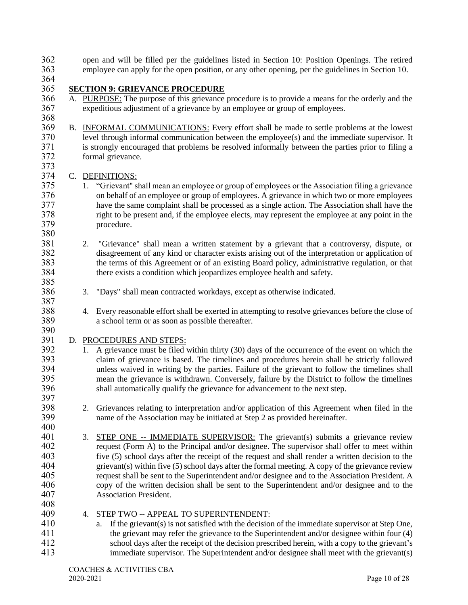open and will be filled per the guidelines listed in Section 10: Position Openings. The retired employee can apply for the open position, or any other opening, per the guidelines in Section 10.

364<br>365

## **SECTION 9: GRIEVANCE PROCEDURE**

- A. PURPOSE: The purpose of this grievance procedure is to provide a means for the orderly and the expeditious adjustment of a grievance by an employee or group of employees.
- B. INFORMAL COMMUNICATIONS: Every effort shall be made to settle problems at the lowest level through informal communication between the employee(s) and the immediate supervisor. It 371 is strongly encouraged that problems be resolved informally between the parties prior to filing a formal grievance. formal grievance.

- 374 C. DEFINITIONS:<br>375 1. "Grievant" sl 1. "Grievant" shall mean an employee or group of employees or the Association filing a grievance on behalf of an employee or group of employees. A grievance in which two or more employees have the same complaint shall be processed as a single action. The Association shall have the right to be present and, if the employee elects, may represent the employee at any point in the procedure.
- 2. "Grievance" shall mean a written statement by a grievant that a controversy, dispute, or disagreement of any kind or character exists arising out of the interpretation or application of the terms of this Agreement or of an existing Board policy, administrative regulation, or that there exists a condition which jeopardizes employee health and safety.
- 3. "Days" shall mean contracted workdays, except as otherwise indicated.
- 4. Every reasonable effort shall be exerted in attempting to resolve grievances before the close of a school term or as soon as possible thereafter.
- 

## D. PROCEDURES AND STEPS:

- 1. A grievance must be filed within thirty (30) days of the occurrence of the event on which the claim of grievance is based. The timelines and procedures herein shall be strictly followed 394 unless waived in writing by the parties. Failure of the grievant to follow the timelines shall<br>395 mean the grievance is withdrawn. Conversely, failure by the District to follow the timelines mean the grievance is withdrawn. Conversely, failure by the District to follow the timelines shall automatically qualify the grievance for advancement to the next step.
- 398 2. Grievances relating to interpretation and/or application of this Agreement when filed in the name of the Association may be initiated at Step 2 as provided hereinafter. name of the Association may be initiated at Step 2 as provided hereinafter.
- 3. STEP ONE -- IMMEDIATE SUPERVISOR: The grievant(s) submits a grievance review request (Form A) to the Principal and/or designee. The supervisor shall offer to meet within five (5) school days after the receipt of the request and shall render a written decision to the grievant(s) within five (5) school days after the formal meeting. A copy of the grievance review request shall be sent to the Superintendent and/or designee and to the Association President. A copy of the written decision shall be sent to the Superintendent and/or designee and to the Association President.
- 4. STEP TWO -- APPEAL TO SUPERINTENDENT:
- a. If the grievant(s) is not satisfied with the decision of the immediate supervisor at Step One, the grievant may refer the grievance to the Superintendent and/or designee within four (4) school days after the receipt of the decision prescribed herein, with a copy to the grievant's immediate supervisor. The Superintendent and/or designee shall meet with the grievant(s)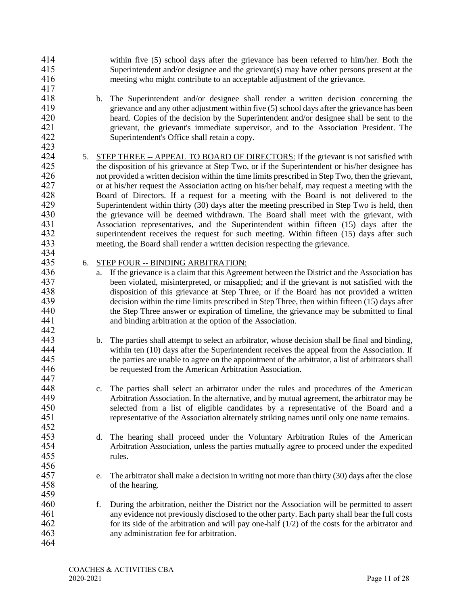- within five (5) school days after the grievance has been referred to him/her. Both the Superintendent and/or designee and the grievant(s) may have other persons present at the meeting who might contribute to an acceptable adjustment of the grievance.
- b. The Superintendent and/or designee shall render a written decision concerning the 419 grievance and any other adjustment within five (5) school days after the grievance has been<br>420 heard. Copies of the decision by the Superintendent and/or designee shall be sent to the heard. Copies of the decision by the Superintendent and/or designee shall be sent to the grievant, the grievant's immediate supervisor, and to the Association President. The Superintendent's Office shall retain a copy.
- 5. STEP THREE -- APPEAL TO BOARD OF DIRECTORS: If the grievant is not satisfied with the disposition of his grievance at Step Two, or if the Superintendent or his/her designee has 426 not provided a written decision within the time limits prescribed in Step Two, then the grievant,<br>427 or at his/her request the Association acting on his/her behalf, may request a meeting with the or at his/her request the Association acting on his/her behalf, may request a meeting with the Board of Directors. If a request for a meeting with the Board is not delivered to the Superintendent within thirty (30) days after the meeting prescribed in Step Two is held, then the grievance will be deemed withdrawn. The Board shall meet with the grievant, with Association representatives, and the Superintendent within fifteen (15) days after the superintendent receives the request for such meeting. Within fifteen (15) days after such meeting, the Board shall render a written decision respecting the grievance.

### 6. STEP FOUR -- BINDING ARBITRATION:

- a. If the grievance is a claim that this Agreement between the District and the Association has been violated, misinterpreted, or misapplied; and if the grievant is not satisfied with the disposition of this grievance at Step Three, or if the Board has not provided a written decision within the time limits prescribed in Step Three, then within fifteen (15) days after the Step Three answer or expiration of timeline, the grievance may be submitted to final and binding arbitration at the option of the Association.
- b. The parties shall attempt to select an arbitrator, whose decision shall be final and binding, within ten (10) days after the Superintendent receives the appeal from the Association. If the parties are unable to agree on the appointment of the arbitrator, a list of arbitrators shall be requested from the American Arbitration Association.
- c. The parties shall select an arbitrator under the rules and procedures of the American Arbitration Association. In the alternative, and by mutual agreement, the arbitrator may be selected from a list of eligible candidates by a representative of the Board and a representative of the Association alternately striking names until only one name remains.
- d. The hearing shall proceed under the Voluntary Arbitration Rules of the American Arbitration Association, unless the parties mutually agree to proceed under the expedited rules.
- 456<br>457 e. The arbitrator shall make a decision in writing not more than thirty (30) days after the close of the hearing.
- f. During the arbitration, neither the District nor the Association will be permitted to assert any evidence not previously disclosed to the other party. Each party shall bear the full costs 462 for its side of the arbitration and will pay one-half  $(1/2)$  of the costs for the arbitrator and any administration fee for arbitration.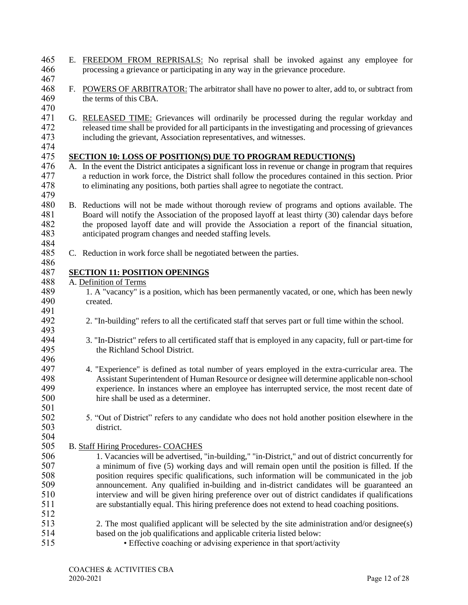- 465 E. FREEDOM FROM REPRISALS: No reprisal shall be invoked against any employee for 466 processing a grievance or participating in any way in the grievance procedure.
- 467
- 468 F. POWERS OF ARBITRATOR: The arbitrator shall have no power to alter, add to, or subtract from<br>469 the terms of this CBA. the terms of this CBA.
- 470<br>471 G. RELEASED TIME: Grievances will ordinarily be processed during the regular workday and 472 released time shall be provided for all participants in the investigating and processing of grievances 473 including the grievant, Association representatives, and witnesses.
- 474<br>475

496

## **SECTION 10: LOSS OF POSITION(S) DUE TO PROGRAM REDUCTION(S)**

- 476 A. In the event the District anticipates a significant loss in revenue or change in program that requires 477 a reduction in work force, the District shall follow the procedures contained in this section. Prior to eliminating any positions, both parties shall agree to negotiate the contract. to eliminating any positions, both parties shall agree to negotiate the contract. 479
- 480 B. Reductions will not be made without thorough review of programs and options available. The 481 Board will notify the Association of the proposed layoff at least thirty (30) calendar days before 482 the proposed layoff date and will provide the Association a report of the financial situation,<br>483 the financial situation anticipated program changes and needed staffing levels. anticipated program changes and needed staffing levels.
- 484<br>485 C. Reduction in work force shall be negotiated between the parties.

# 487 **SECTION 11: POSITION OPENINGS**<br>488 A. Definition of Terms

- 488 A. Definition of Terms<br>489 1. A "vacancy" is a
- 1. A "vacancy" is a position, which has been permanently vacated, or one, which has been newly 490 created.
- 491<br>492 492 2. "In-building" refers to all the certificated staff that serves part or full time within the school. 493
- 494 3. "In-District" refers to all certificated staff that is employed in any capacity, full or part-time for 495 the Richland School District.
- 497 4. "Experience" is defined as total number of years employed in the extra-curricular area. The 498 Assistant Superintendent of Human Resource or designee will determine applicable non-school 498 Assistant Superintendent of Human Resource or designee will determine applicable non-school<br>499 experience. In instances where an employee has interrupted service, the most recent date of experience. In instances where an employee has interrupted service, the most recent date of 500 hire shall be used as a determiner.
- $\frac{501}{502}$ 5. "Out of District" refers to any candidate who does not hold another position elsewhere in the 503 district. 504
- 505 B. Staff Hiring Procedures- COACHES
- 506 1. Vacancies will be advertised, "in-building," "in-District," and out of district concurrently for 507 a minimum of five (5) working days and will remain open until the position is filled. If the 508 solution requires specific qualifications, such information will be communicated in the iob 508 position requires specific qualifications, such information will be communicated in the job 509 announcement. Any qualified in-building and in-district candidates will be guaranteed an 510 interview and will be given hiring preference over out of district candidates if qualifications 511 are substantially equal. This hiring preference does not extend to head coaching positions. 512
- 513 2. The most qualified applicant will be selected by the site administration and/or designee(s) 514 based on the job qualifications and applicable criteria listed below:
- 515 Effective coaching or advising experience in that sport/activity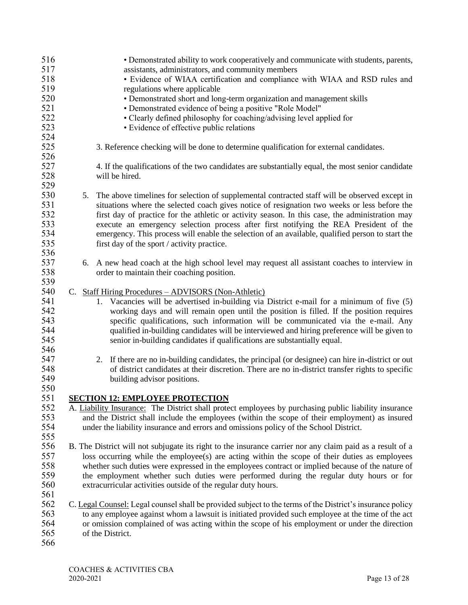| 516<br>517<br>518<br>519<br>520<br>521        |  | • Demonstrated ability to work cooperatively and communicate with students, parents,<br>assistants, administrators, and community members<br>• Evidence of WIAA certification and compliance with WIAA and RSD rules and<br>regulations where applicable<br>• Demonstrated short and long-term organization and management skills<br>• Demonstrated evidence of being a positive "Role Model"                                                                                                                                                   |
|-----------------------------------------------|--|-------------------------------------------------------------------------------------------------------------------------------------------------------------------------------------------------------------------------------------------------------------------------------------------------------------------------------------------------------------------------------------------------------------------------------------------------------------------------------------------------------------------------------------------------|
| 522<br>523<br>524                             |  | • Clearly defined philosophy for coaching/advising level applied for<br>• Evidence of effective public relations                                                                                                                                                                                                                                                                                                                                                                                                                                |
| 525<br>526                                    |  | 3. Reference checking will be done to determine qualification for external candidates.                                                                                                                                                                                                                                                                                                                                                                                                                                                          |
| 527<br>528<br>529                             |  | 4. If the qualifications of the two candidates are substantially equal, the most senior candidate<br>will be hired.                                                                                                                                                                                                                                                                                                                                                                                                                             |
| 530<br>531<br>532<br>533<br>534<br>535<br>536 |  | 5. The above timelines for selection of supplemental contracted staff will be observed except in<br>situations where the selected coach gives notice of resignation two weeks or less before the<br>first day of practice for the athletic or activity season. In this case, the administration may<br>execute an emergency selection process after first notifying the REA President of the<br>emergency. This process will enable the selection of an available, qualified person to start the<br>first day of the sport / activity practice. |
| 537<br>538<br>539                             |  | 6. A new head coach at the high school level may request all assistant coaches to interview in<br>order to maintain their coaching position.                                                                                                                                                                                                                                                                                                                                                                                                    |
| 540<br>541<br>542<br>543<br>544<br>545        |  | C. Staff Hiring Procedures – ADVISORS (Non-Athletic)<br>1. Vacancies will be advertised in-building via District e-mail for a minimum of five (5)<br>working days and will remain open until the position is filled. If the position requires<br>specific qualifications, such information will be communicated via the e-mail. Any<br>qualified in-building candidates will be interviewed and hiring preference will be given to<br>senior in-building candidates if qualifications are substantially equal.                                  |
| 546<br>547<br>548<br>549<br>550               |  | If there are no in-building candidates, the principal (or designee) can hire in-district or out<br>2.<br>of district candidates at their discretion. There are no in-district transfer rights to specific<br>building advisor positions.                                                                                                                                                                                                                                                                                                        |
|                                               |  |                                                                                                                                                                                                                                                                                                                                                                                                                                                                                                                                                 |
| 551                                           |  | <b>SECTION 12: EMPLOYEE PROTECTION</b>                                                                                                                                                                                                                                                                                                                                                                                                                                                                                                          |
| 552<br>553<br>554                             |  | A. Liability Insurance: The District shall protect employees by purchasing public liability insurance<br>and the District shall include the employees (within the scope of their employment) as insured<br>under the liability insurance and errors and omissions policy of the School District.                                                                                                                                                                                                                                                |
| 555                                           |  |                                                                                                                                                                                                                                                                                                                                                                                                                                                                                                                                                 |
| 556                                           |  | B. The District will not subjugate its right to the insurance carrier nor any claim paid as a result of a                                                                                                                                                                                                                                                                                                                                                                                                                                       |
| 557                                           |  | loss occurring while the employee(s) are acting within the scope of their duties as employees                                                                                                                                                                                                                                                                                                                                                                                                                                                   |
| 558                                           |  | whether such duties were expressed in the employees contract or implied because of the nature of                                                                                                                                                                                                                                                                                                                                                                                                                                                |
| 559<br>560                                    |  | the employment whether such duties were performed during the regular duty hours or for<br>extracurricular activities outside of the regular duty hours.                                                                                                                                                                                                                                                                                                                                                                                         |
| 561                                           |  |                                                                                                                                                                                                                                                                                                                                                                                                                                                                                                                                                 |
| 562                                           |  | C. Legal Counsel: Legal counsel shall be provided subject to the terms of the District's insurance policy                                                                                                                                                                                                                                                                                                                                                                                                                                       |
| 563                                           |  | to any employee against whom a lawsuit is initiated provided such employee at the time of the act                                                                                                                                                                                                                                                                                                                                                                                                                                               |
| 564                                           |  | or omission complained of was acting within the scope of his employment or under the direction                                                                                                                                                                                                                                                                                                                                                                                                                                                  |
| 565                                           |  | of the District.                                                                                                                                                                                                                                                                                                                                                                                                                                                                                                                                |
| 566                                           |  |                                                                                                                                                                                                                                                                                                                                                                                                                                                                                                                                                 |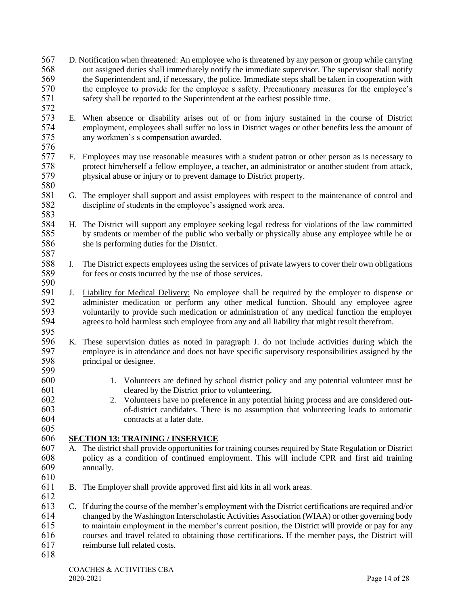- D. Notification when threatened: An employee who is threatened by any person or group while carrying out assigned duties shall immediately notify the immediate supervisor. The supervisor shall notify 569 the Superintendent and, if necessary, the police. Immediate steps shall be taken in cooperation with<br>570 the employee to provide for the employee s safety. Precautionary measures for the employee's the employee to provide for the employee s safety. Precautionary measures for the employee's safety shall be reported to the Superintendent at the earliest possible time.
- 572<br>573 E. When absence or disability arises out of or from injury sustained in the course of District employment, employees shall suffer no loss in District wages or other benefits less the amount of any workmen's s compensation awarded.
- 576<br>577 F. Employees may use reasonable measures with a student patron or other person as is necessary to protect him/herself a fellow employee, a teacher, an administrator or another student from attack, physical abuse or injury or to prevent damage to District property.
- G. The employer shall support and assist employees with respect to the maintenance of control and discipline of students in the employee's assigned work area.
- H. The District will support any employee seeking legal redress for violations of the law committed by students or member of the public who verbally or physically abuse any employee while he or she is performing duties for the District.
- 588 I. The District expects employees using the services of private lawyers to cover their own obligations for fees or costs incurred by the use of those services. for fees or costs incurred by the use of those services.
- 

- 591 J. Liability for Medical Delivery: No employee shall be required by the employer to dispense or administer medication or perform any other medical function. Should any employee agree administer medication or perform any other medical function. Should any employee agree voluntarily to provide such medication or administration of any medical function the employer agrees to hold harmless such employee from any and all liability that might result therefrom.
- 
- K. These supervision duties as noted in paragraph J. do not include activities during which the employee is in attendance and does not have specific supervisory responsibilities assigned by the principal or designee.
- 
- 1. Volunteers are defined by school district policy and any potential volunteer must be cleared by the District prior to volunteering.
- 602 2. Volunteers have no preference in any potential hiring process and are considered out-<br>603 6-district candidates. There is no assumption that volunteering leads to automatic of-district candidates. There is no assumption that volunteering leads to automatic contracts at a later date.

## **SECTION 13: TRAINING / INSERVICE**

- A. The district shall provide opportunities for training courses required by State Regulation or District policy as a condition of continued employment. This will include CPR and first aid training annually.
- B. The Employer shall provide approved first aid kits in all work areas.
- C. If during the course of the member's employment with the District certifications are required and/or changed by the Washington Interscholastic Activities Association (WIAA) or other governing body to maintain employment in the member's current position, the District will provide or pay for any courses and travel related to obtaining those certifications. If the member pays, the District will reimburse full related costs.
-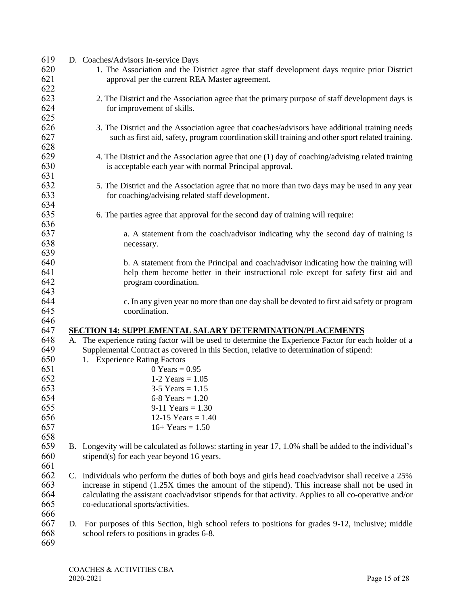| 619 |    | D. Coaches/Advisors In-service Days                                                                                                           |
|-----|----|-----------------------------------------------------------------------------------------------------------------------------------------------|
| 620 |    | 1. The Association and the District agree that staff development days require prior District                                                  |
| 621 |    | approval per the current REA Master agreement.                                                                                                |
| 622 |    |                                                                                                                                               |
| 623 |    | 2. The District and the Association agree that the primary purpose of staff development days is                                               |
| 624 |    | for improvement of skills.                                                                                                                    |
| 625 |    |                                                                                                                                               |
| 626 |    | 3. The District and the Association agree that coaches/advisors have additional training needs                                                |
| 627 |    |                                                                                                                                               |
|     |    | such as first aid, safety, program coordination skill training and other sport related training.                                              |
| 628 |    |                                                                                                                                               |
| 629 |    | 4. The District and the Association agree that one (1) day of coaching/advising related training                                              |
| 630 |    | is acceptable each year with normal Principal approval.                                                                                       |
| 631 |    |                                                                                                                                               |
| 632 |    | 5. The District and the Association agree that no more than two days may be used in any year                                                  |
| 633 |    | for coaching/advising related staff development.                                                                                              |
| 634 |    |                                                                                                                                               |
| 635 |    | 6. The parties agree that approval for the second day of training will require:                                                               |
| 636 |    |                                                                                                                                               |
| 637 |    | a. A statement from the coach/advisor indicating why the second day of training is                                                            |
| 638 |    | necessary.                                                                                                                                    |
| 639 |    |                                                                                                                                               |
| 640 |    | b. A statement from the Principal and coach/advisor indicating how the training will                                                          |
| 641 |    | help them become better in their instructional role except for safety first aid and                                                           |
| 642 |    | program coordination.                                                                                                                         |
| 643 |    |                                                                                                                                               |
| 644 |    | c. In any given year no more than one day shall be devoted to first aid safety or program                                                     |
| 645 |    | coordination.                                                                                                                                 |
| 646 |    |                                                                                                                                               |
|     |    |                                                                                                                                               |
|     |    |                                                                                                                                               |
| 647 |    | <b>SECTION 14: SUPPLEMENTAL SALARY DETERMINATION/PLACEMENTS</b>                                                                               |
| 648 |    | A. The experience rating factor will be used to determine the Experience Factor for each holder of a                                          |
| 649 |    | Supplemental Contract as covered in this Section, relative to determination of stipend:                                                       |
| 650 |    | 1. Experience Rating Factors                                                                                                                  |
| 651 |    | $0$ Years = 0.95                                                                                                                              |
| 652 |    | 1-2 Years = $1.05$                                                                                                                            |
| 653 |    | $3-5$ Years = 1.15                                                                                                                            |
| 654 |    | 6-8 Years = $1.20$                                                                                                                            |
| 655 |    | $9-11$ Years = 1.30                                                                                                                           |
| 656 |    | 12-15 Years = $1.40$                                                                                                                          |
| 657 |    | $16+Years = 1.50$                                                                                                                             |
| 658 |    |                                                                                                                                               |
| 659 |    | B. Longevity will be calculated as follows: starting in year 17, 1.0% shall be added to the individual's                                      |
| 660 |    | stipend(s) for each year beyond 16 years.                                                                                                     |
| 661 |    |                                                                                                                                               |
| 662 |    | C. Individuals who perform the duties of both boys and girls head coach/advisor shall receive a 25%                                           |
| 663 |    | increase in stipend (1.25X times the amount of the stipend). This increase shall not be used in                                               |
| 664 |    | calculating the assistant coach/advisor stipends for that activity. Applies to all co-operative and/or                                        |
| 665 |    | co-educational sports/activities.                                                                                                             |
| 666 |    |                                                                                                                                               |
| 667 | D. |                                                                                                                                               |
| 668 |    | For purposes of this Section, high school refers to positions for grades 9-12, inclusive; middle<br>school refers to positions in grades 6-8. |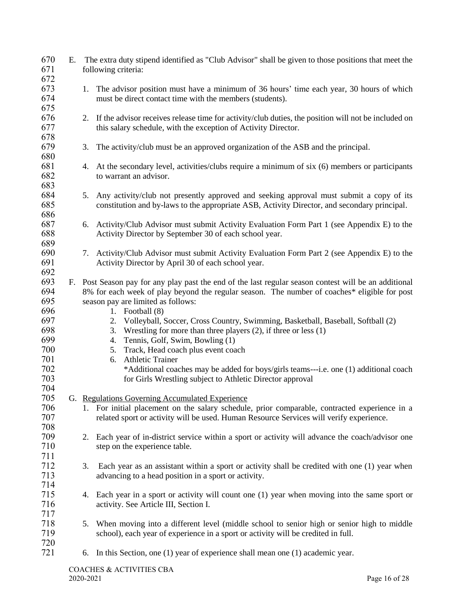| 670<br>671                      | Е. |    | The extra duty stipend identified as "Club Advisor" shall be given to those positions that meet the<br>following criteria:                                                                                                                                                    |
|---------------------------------|----|----|-------------------------------------------------------------------------------------------------------------------------------------------------------------------------------------------------------------------------------------------------------------------------------|
| 672<br>673<br>674               |    | 1. | The advisor position must have a minimum of 36 hours' time each year, 30 hours of which<br>must be direct contact time with the members (students).                                                                                                                           |
| 675<br>676<br>677<br>678        |    |    | 2. If the advisor receives release time for activity/club duties, the position will not be included on<br>this salary schedule, with the exception of Activity Director.                                                                                                      |
| 679                             |    | 3. | The activity/club must be an approved organization of the ASB and the principal.                                                                                                                                                                                              |
| 680<br>681<br>682<br>683        |    |    | 4. At the secondary level, activities/clubs require a minimum of six (6) members or participants<br>to warrant an advisor.                                                                                                                                                    |
| 684<br>685<br>686               |    |    | 5. Any activity/club not presently approved and seeking approval must submit a copy of its<br>constitution and by-laws to the appropriate ASB, Activity Director, and secondary principal.                                                                                    |
| 687<br>688<br>689               |    |    | 6. Activity/Club Advisor must submit Activity Evaluation Form Part 1 (see Appendix E) to the<br>Activity Director by September 30 of each school year.                                                                                                                        |
| 690<br>691<br>692               |    |    | 7. Activity/Club Advisor must submit Activity Evaluation Form Part 2 (see Appendix E) to the<br>Activity Director by April 30 of each school year.                                                                                                                            |
| 693<br>694<br>695               |    |    | F. Post Season pay for any play past the end of the last regular season contest will be an additional<br>8% for each week of play beyond the regular season. The number of coaches* eligible for post<br>season pay are limited as follows:                                   |
| 696<br>697<br>698<br>699<br>700 |    |    | 1. Football $(8)$<br>Volleyball, Soccer, Cross Country, Swimming, Basketball, Baseball, Softball (2)<br>2.<br>Wrestling for more than three players $(2)$ , if three or less $(1)$<br>3.<br>Tennis, Golf, Swim, Bowling (1)<br>4.<br>Track, Head coach plus event coach<br>5. |
| 701<br>702<br>703<br>704        |    |    | <b>Athletic Trainer</b><br>6.<br>*Additional coaches may be added for boys/girls teams---i.e. one (1) additional coach<br>for Girls Wrestling subject to Athletic Director approval                                                                                           |
| 705                             |    |    | G. Regulations Governing Accumulated Experience                                                                                                                                                                                                                               |
| 706<br>707                      |    |    | 1. For initial placement on the salary schedule, prior comparable, contracted experience in a<br>related sport or activity will be used. Human Resource Services will verify experience.                                                                                      |
| 708<br>709<br>710               |    |    | 2. Each year of in-district service within a sport or activity will advance the coach/advisor one<br>step on the experience table.                                                                                                                                            |
| 711<br>712<br>713<br>714        |    | 3. | Each year as an assistant within a sport or activity shall be credited with one (1) year when<br>advancing to a head position in a sport or activity.                                                                                                                         |
| 715<br>716<br>717               |    |    | 4. Each year in a sport or activity will count one (1) year when moving into the same sport or<br>activity. See Article III, Section I.                                                                                                                                       |
| 718<br>719<br>720               |    | 5. | When moving into a different level (middle school to senior high or senior high to middle<br>school), each year of experience in a sport or activity will be credited in full.                                                                                                |
| 721                             |    | 6. | In this Section, one $(1)$ year of experience shall mean one $(1)$ academic year.                                                                                                                                                                                             |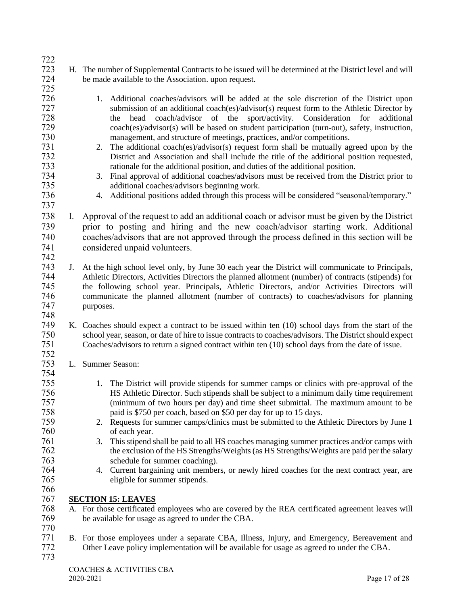- H. The number of Supplemental Contracts to be issued will be determined at the District level and will be made available to the Association. upon request.
- 1. Additional coaches/advisors will be added at the sole discretion of the District upon submission of an additional coach(es)/advisor(s) request form to the Athletic Director by the head coach/advisor of the sport/activity. Consideration for additional coach(es)/advisor(s) will be based on student participation (turn-out), safety, instruction, management, and structure of meetings, practices, and/or competitions.
- 731 2. The additional coach(es)/advisor(s) request form shall be mutually agreed upon by the 732 12 2. District and Association and shall include the title of the additional position requested, rationale for the additional position, and duties of the additional position.
- 3. Final approval of additional coaches/advisors must be received from the District prior to additional coaches/advisors beginning work.
- 4. Additional positions added through this process will be considered "seasonal/temporary."
- I. Approval of the request to add an additional coach or advisor must be given by the District prior to posting and hiring and the new coach/advisor starting work. Additional coaches/advisors that are not approved through the process defined in this section will be considered unpaid volunteers.
- J. At the high school level only, by June 30 each year the District will communicate to Principals, 744 Athletic Directors, Activities Directors the planned allotment (number) of contracts (stipends) for<br>745 the following school year. Principals, Athletic Directors, and/or Activities Directors will the following school year. Principals, Athletic Directors, and/or Activities Directors will communicate the planned allotment (number of contracts) to coaches/advisors for planning purposes.
- K. Coaches should expect a contract to be issued within ten (10) school days from the start of the school year, season, or date of hire to issue contracts to coaches/advisors. The District should expect Coaches/advisors to return a signed contract within ten (10) school days from the date of issue.
- L. Summer Season:
- 1. The District will provide stipends for summer camps or clinics with pre-approval of the HS Athletic Director. Such stipends shall be subject to a minimum daily time requirement (minimum of two hours per day) and time sheet submittal. The maximum amount to be paid is \$750 per coach, based on \$50 per day for up to 15 days.
- 2. Requests for summer camps/clinics must be submitted to the Athletic Directors by June 1 of each year.
- 3. This stipend shall be paid to all HS coaches managing summer practices and/or camps with the exclusion of the HS Strengths/Weights (as HS Strengths/Weights are paid per the salary schedule for summer coaching).
- 4. Current bargaining unit members, or newly hired coaches for the next contract year, are eligible for summer stipends.
- **SECTION 15: LEAVES**
- 768 A. For those certificated employees who are covered by the REA certificated agreement leaves will<br>769 be available for usage as agreed to under the CBA. be available for usage as agreed to under the CBA.
- B. For those employees under a separate CBA, Illness, Injury, and Emergency, Bereavement and Other Leave policy implementation will be available for usage as agreed to under the CBA.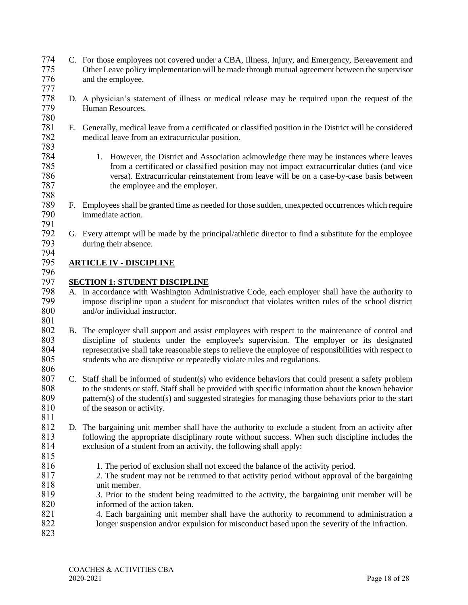- 774 C. For those employees not covered under a CBA, Illness, Injury, and Emergency, Bereavement and 775 Other Leave policy implementation will be made through mutual agreement between the supervisor 776 and the employee.
- 777 778 D. A physician's statement of illness or medical release may be required upon the request of the Human Resources. 780
- 781 E. Generally, medical leave from a certificated or classified position in the District will be considered 782 medical leave from an extracurricular position. 783
- 1. However, the District and Association acknowledge there may be instances where leaves 785 from a certificated or classified position may not impact extracurricular duties (and vice 786 versa). Extracurricular reinstatement from leave will be on a case-by-case basis between the employee and the employer.
- 789 F. Employees shall be granted time as needed for those sudden, unexpected occurrences which require 790 immediate action.
- 791 792 G. Every attempt will be made by the principal/athletic director to find a substitute for the employee during their absence. during their absence.

## 794<br>795

788

## 795 **ARTICLE IV - DISCIPLINE**

- 796<br>797 797 **SECTION 1: STUDENT DISCIPLINE**<br>798 A. In accordance with Washington Adm
- 798 A. In accordance with Washington Administrative Code, each employer shall have the authority to<br>799 mnose discipline upon a student for misconduct that violates written rules of the school district 799 impose discipline upon a student for misconduct that violates written rules of the school district and/or individual instructor. and/or individual instructor.
- $\frac{801}{802}$ B. The employer shall support and assist employees with respect to the maintenance of control and 803 discipline of students under the employee's supervision. The employer or its designated 804 representative shall take reasonable steps to relieve the employee of responsibilities with respect to 805 students who are disruptive or repeatedly violate rules and regulations.
- $\frac{806}{807}$
- 807 C. Staff shall be informed of student(s) who evidence behaviors that could present a safety problem 808 to the students or staff. Staff shall be provided with specific information about the known behavior 809 pattern(s) of the student(s) and suggested strategies for managing those behaviors prior to the start 810 of the season or activity. 811
- 812 D. The bargaining unit member shall have the authority to exclude a student from an activity after 813 following the appropriate disciplinary route without success. When such discipline includes the 814 exclusion of a student from an activity, the following shall apply: 815
- 816 1. The period of exclusion shall not exceed the balance of the activity period.<br>817 2. The student may not be returned to that activity period without approval of
- 2. The student may not be returned to that activity period without approval of the bargaining 818 unit member.
- 819 3. Prior to the student being readmitted to the activity, the bargaining unit member will be 820 informed of the action taken.
- 821 4. Each bargaining unit member shall have the authority to recommend to administration a 822 longer suspension and/or expulsion for misconduct based upon the severity of the infraction.
- 823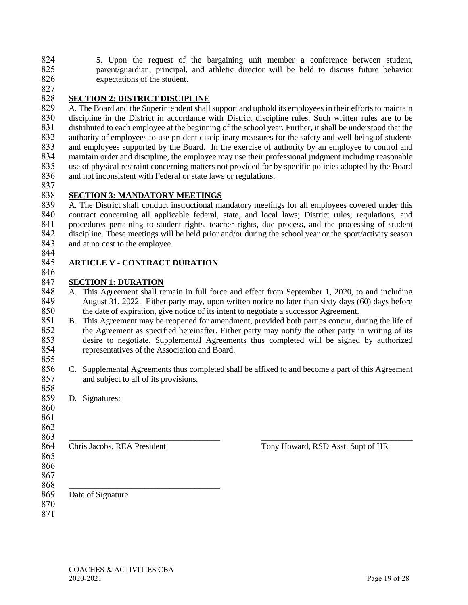5. Upon the request of the bargaining unit member a conference between student, parent/guardian, principal, and athletic director will be held to discuss future behavior 826 expectations of the student.

## **SECTION 2: DISTRICT DISCIPLINE**

829 A. The Board and the Superintendent shall support and uphold its employees in their efforts to maintain discipline in the District in accordance with District discipline rules. Such written rules are to be discipline in the District in accordance with District discipline rules. Such written rules are to be distributed to each employee at the beginning of the school year. Further, it shall be understood that the authority of employees to use prudent disciplinary measures for the safety and well-being of students 833 and employees supported by the Board. In the exercise of authority by an employee to control and<br>834 maintain order and discipline, the employee may use their professional judgment including reasonable maintain order and discipline, the employee may use their professional judgment including reasonable use of physical restraint concerning matters not provided for by specific policies adopted by the Board 836 and not inconsistent with Federal or state laws or regulations.

## **SECTION 3: MANDATORY MEETINGS**

 A. The District shall conduct instructional mandatory meetings for all employees covered under this contract concerning all applicable federal, state, and local laws; District rules, regulations, and 841 procedures pertaining to student rights, teacher rights, due process, and the processing of student discipline. These meetings will be held prior and/or during the school vear or the sport/activity season discipline. These meetings will be held prior and/or during the school year or the sport/activity season 843 and at no cost to the employee.

#### **ARTICLE V - CONTRACT DURATION**

## **SECTION 1: DURATION**

- 848 A. This Agreement shall remain in full force and effect from September 1, 2020, to and including August 31, 2022. Either party may, upon written notice no later than sixty days (60) days before the date of expiration, give notice of its intent to negotiate a successor Agreement.
- 851 B. This Agreement may be reopened for amendment, provided both parties concur, during the life of the Agreement as specified hereinafter. Either party may notify the other party in writing of its the Agreement as specified hereinafter. Either party may notify the other party in writing of its desire to negotiate. Supplemental Agreements thus completed will be signed by authorized representatives of the Association and Board.
- 856 C. Supplemental Agreements thus completed shall be affixed to and become a part of this Agreement and subject to all of its provisions. and subject to all of its provisions.
- D. Signatures:
- \_\_\_\_\_\_\_\_\_\_\_\_\_\_\_\_\_\_\_\_\_\_\_\_\_\_\_\_\_\_\_\_\_\_\_\_ \_\_\_\_\_\_\_\_\_\_\_\_\_\_\_\_\_\_\_\_\_\_\_\_\_\_\_\_\_\_\_\_\_\_\_\_ 864 Chris Jacobs, REA President Tony Howard, RSD Asst. Supt of HR \_\_\_\_\_\_\_\_\_\_\_\_\_\_\_\_\_\_\_\_\_\_\_\_\_\_\_\_\_\_\_\_\_\_\_\_
	-

- Date of Signature
-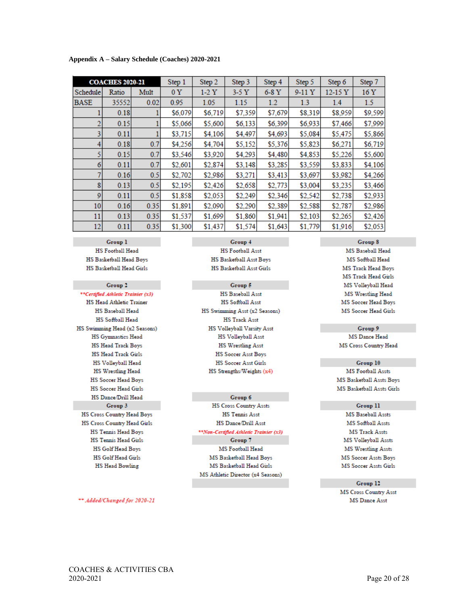| Appendix A – Salary Schedule (Coaches) 2020-2021 |
|--------------------------------------------------|
|--------------------------------------------------|

|             | <b>COACHES 2020-21</b> |      | Step 1  | Step 2  | Step 3  | Step 4  | Step 5  | Step 6     | Step 7          |
|-------------|------------------------|------|---------|---------|---------|---------|---------|------------|-----------------|
| Schedule    | Ratio                  | Mult | 0Y      | $1-2Y$  | $3-5Y$  | $6-8$ Y | $9-11Y$ | $12 - 15Y$ | 16 <sub>Y</sub> |
| <b>BASE</b> | 35552                  | 0.02 | 0.95    | 1.05    | 1.15    | $1.2\,$ | 1.3     | 1.4        | 1.5             |
|             | 0.18                   |      | \$6,079 | \$6,719 | \$7,359 | \$7,679 | \$8,319 | \$8,959    | \$9,599         |
| 2           | 0.15                   |      | \$5,066 | \$5,600 | \$6,133 | \$6,399 | \$6,933 | \$7,466    | \$7,999         |
| 3           | 0.11                   |      | \$3,715 | \$4,106 | \$4,497 | \$4,693 | \$5,084 | \$5,475    | \$5,866         |
|             | 0.18                   | 0.7  | \$4,256 | \$4,704 | \$5,152 | \$5,376 | \$5,823 | \$6,271    | \$6,719         |
|             | 0.15                   | 0.7  | \$3,546 | \$3,920 | \$4,293 | \$4,480 | \$4,853 | \$5,226    | \$5,600         |
| 6           | 0.11                   | 0.7  | \$2,601 | \$2,874 | \$3,148 | \$3,285 | \$3,559 | \$3,833    | \$4,106         |
| 7           | 0.16                   | 0.5  | \$2,702 | \$2,986 | \$3,271 | \$3,413 | \$3,697 | \$3,982    | \$4,266         |
| 8           | 0.13                   | 0.5  | \$2,195 | \$2,426 | \$2,658 | \$2,773 | \$3,004 | \$3,235    | \$3,466         |
| 9           | 0.11                   | 0.5  | \$1,858 | \$2,053 | \$2,249 | \$2,346 | \$2,542 | \$2,738    | \$2,933         |
| 10          | 0.16                   | 0.35 | \$1,891 | \$2,090 | \$2,290 | \$2,389 | \$2,588 | \$2,787    | \$2,986         |
| 11          | 0.13                   | 0.35 | \$1,537 | \$1,699 | \$1,860 | \$1,941 | \$2,103 | \$2,265    | \$2,426         |
| 12          | 0.11                   | 0.35 | \$1,300 | \$1,437 | \$1,574 | \$1,643 | \$1,779 | \$1,916    | \$2,053         |

Group 1 **HS Football Head** HS Basketball Head Boys HS Basketball Head Girls

#### Group 2

\*\*Certified Athletic Trainier (x3) HS Head Athletic Trainer HS Baseball Head HS Softball Head HS Swimming Head (x2 Seasons) HS Gymnastics Head **HS Head Track Boys HS Head Track Girls** HS Volleyball Head **HS Wrestling Head HS Soccer Head Boys HS Soccer Head Girls HS Dance/Drill Head** Group 3 HS Cross Country Head Boys HS Cross Country Head Girls **HS Tennis Head Boys HS Tennis Head Girls** HS Golf Head Boys **HS Golf Head Girls HS Head Bowling** 

Group 4 **HS Football Asst HS Basketball Asst Boys HS Basketball Asst Girls** 

Group 5 **HS Baseball Asst HS Softball Asst** HS Swimming Asst (x2 Seasons) **HS Track Asst** HS Volleyball Varsity Asst **HS Volleyball Asst HS Wrestling Asst HS Soccer Asst Boys HS Soccer Asst Girls** HS Strengths/Weights (x4)

#### Group 6

**HS Cross Country Assts HS Tennis Asst HS Dance/Drill Asst** \*\*Non-Certified Athletic Trainier (x3)

Group 7 MS Football Head MS Basketball Head Boys MS Basketball Head Girls MS Athletic Director (x4 Seasons)

\*\* Added/Changed for 2020-21

Group 8

MS Baseball Head MS Softball Head MS Track Head Boys MS Track Head Girls MS Volleyball Head MS Wrestling Head MS Soccer Head Boys MS Soccer Head Girls

#### Group 9 MS Dance Head

MS Cross Country Head

Group 10 **MS Football Assts** MS Basketball Assts Boys

#### Group 11

MS Basketball Assts Girls

MS Baseball Assts MS Softball Assts **MS Track Assts** MS Volleyball Assts **MS Wrestling Assts** MS Soccer Assts Boys MS Soccer Assts Girls

Group 12

MS Cross Country Asst **MS** Dance Asst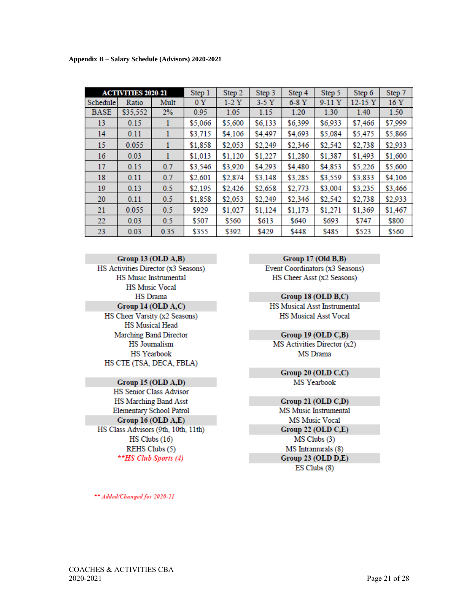|             | <b>ACTIVITIES 2020-21</b> |      | Step 1  | Step 2  | Step 3  | Step 4  | Step 5  | Step 6     | Step 7  |
|-------------|---------------------------|------|---------|---------|---------|---------|---------|------------|---------|
| Schedule    | Ratio                     | Mult | 0Y      | 1-2 Y   | $3-5Y$  | $6-8$ Y | 9-11 Y  | $12 - 15Y$ | 16 Y    |
| <b>BASE</b> | \$35,552                  | 2%   | 0.95    | 1.05    | 1.15    | 1.20    | 1.30    | 1.40       | 1.50    |
| 13          | 0.15                      |      | \$5,066 | \$5,600 | \$6,133 | \$6,399 | \$6,933 | \$7,466    | \$7,999 |
| 14          | 0.11                      |      | \$3,715 | \$4,106 | \$4,497 | \$4,693 | \$5,084 | \$5,475    | \$5,866 |
| 15          | 0.055                     |      | \$1,858 | \$2,053 | \$2,249 | \$2,346 | \$2,542 | \$2,738    | \$2,933 |
| 16          | 0.03                      |      | \$1,013 | \$1,120 | \$1,227 | \$1,280 | \$1,387 | \$1,493    | \$1,600 |
| 17          | 0.15                      | 0.7  | \$3,546 | \$3,920 | \$4,293 | \$4,480 | \$4,853 | \$5,226    | \$5,600 |
| 18          | 0.11                      | 0.7  | \$2,601 | \$2,874 | \$3,148 | \$3,285 | \$3,559 | \$3,833    | \$4,106 |
| 19          | 0.13                      | 0.5  | \$2,195 | \$2,426 | \$2,658 | \$2,773 | \$3,004 | \$3,235    | \$3,466 |
| 20          | 0.11                      | 0.5  | \$1,858 | \$2,053 | \$2,249 | \$2,346 | \$2,542 | \$2,738    | \$2,933 |
| 21          | 0.055                     | 0.5  | \$929   | \$1,027 | \$1,124 | \$1,173 | \$1,271 | \$1,369    | \$1,467 |
| 22          | 0.03                      | 0.5  | \$507   | \$560   | \$613   | \$640   | \$693   | \$747      | \$800   |
| 23          | 0.03                      | 0.35 | \$355   | \$392   | \$429   | \$448   | \$485   | \$523      | \$560   |

#### Group 13 (OLD A,B)

HS Activities Director (x3 Seasons) HS Music Instrumental **HS Music Vocal HS Drama** Group 14 (OLD A,C) HS Cheer Varsity (x2 Seasons) **HS Musical Head Marching Band Director** HS Journalism

**HS** Yearbook HS CTE (TSA, DECA, FBLA)

### Group 15 (OLD A,D)

HS Senior Class Advisor HS Marching Band Asst Elementary School Patrol Group 16 (OLD A,E) HS Class Advisors (9th, 10th, 11th)  $HS$  Clubs  $(16)$ REHS Clubs (5) \*\*HS Club Sports (4)

Group 17 (Old B,B)

Event Coordinators (x3 Seasons) HS Cheer Asst (x2 Seasons)

Group 18 (OLD B,C) HS Musical Asst Instrumental **HS Musical Asst Vocal** 

### Group 19 (OLD C,B)

MS Activities Director (x2) MS Drama

> Group 20 (OLD C,C) MS Yearbook

## Group 21 (OLD  $C,D$ )

MS Music Instrumental **MS Music Vocal** Group 22 (OLD C,E)  $MS$  Clubs  $(3)$ MS Intramurals (8) Group 23 (OLD D,E) ES Clubs (8)

\*\* Added/Changed for 2020-21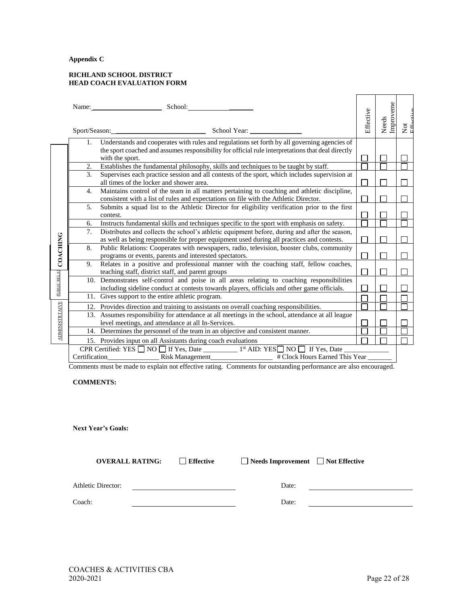#### **Appendix C**

#### **RICHLAND SCHOOL DISTRICT HEAD COACH EVALUATION FORM**

|                       | Name:            | School:                                                                                                                                                                              | Effective | Needs<br>Improveme | Not<br>$F_{\text{H}\text{m}}$ |  |  |  |
|-----------------------|------------------|--------------------------------------------------------------------------------------------------------------------------------------------------------------------------------------|-----------|--------------------|-------------------------------|--|--|--|
|                       | 1.               | Understands and cooperates with rules and regulations set forth by all governing agencies of                                                                                         |           |                    |                               |  |  |  |
|                       |                  | the sport coached and assumes responsibility for official rule interpretations that deal directly<br>with the sport.                                                                 |           |                    |                               |  |  |  |
|                       | 2.               | Establishes the fundamental philosophy, skills and techniques to be taught by staff.                                                                                                 |           |                    |                               |  |  |  |
|                       | 3.               | Supervises each practice session and all contests of the sport, which includes supervision at<br>all times of the locker and shower area.                                            |           |                    |                               |  |  |  |
|                       | $\overline{4}$ . | Maintains control of the team in all matters pertaining to coaching and athletic discipline,<br>consistent with a list of rules and expectations on file with the Athletic Director. |           |                    |                               |  |  |  |
|                       | 5.               | Submits a squad list to the Athletic Director for eligibility verification prior to the first<br>contest.                                                                            |           |                    |                               |  |  |  |
|                       | 6.               | Instructs fundamental skills and techniques specific to the sport with emphasis on safety.                                                                                           |           |                    |                               |  |  |  |
|                       | 7.               | Distributes and collects the school's athletic equipment before, during and after the season,                                                                                        |           |                    |                               |  |  |  |
|                       |                  | as well as being responsible for proper equipment used during all practices and contests.                                                                                            |           |                    |                               |  |  |  |
| COACHING              | 8.               | Public Relations: Cooperates with newspapers, radio, television, booster clubs, community<br>programs or events, parents and interested spectators.                                  |           |                    |                               |  |  |  |
|                       | 9.               | Relates in a positive and professional manner with the coaching staff, fellow coaches,                                                                                               |           |                    |                               |  |  |  |
|                       |                  | teaching staff, district staff, and parent groups                                                                                                                                    |           |                    |                               |  |  |  |
|                       |                  | 10. Demonstrates self-control and poise in all areas relating to coaching responsibilities                                                                                           |           |                    |                               |  |  |  |
|                       |                  | including sideline conduct at contests towards players, officials and other game officials.                                                                                          |           |                    |                               |  |  |  |
|                       |                  | 11. Gives support to the entire athletic program.                                                                                                                                    |           |                    |                               |  |  |  |
|                       |                  | 12. Provides direction and training to assistants on overall coaching responsibilities.                                                                                              |           |                    |                               |  |  |  |
| <b>ADMINISTRTAIVE</b> |                  | 13. Assumes responsibility for attendance at all meetings in the school, attendance at all league                                                                                    |           |                    |                               |  |  |  |
|                       |                  | level meetings, and attendance at all In-Services.                                                                                                                                   |           |                    |                               |  |  |  |
|                       |                  | 14. Determines the personnel of the team in an objective and consistent manner.                                                                                                      |           |                    |                               |  |  |  |
|                       |                  | 15. Provides input on all Assistants during coach evaluations                                                                                                                        |           |                    |                               |  |  |  |
|                       |                  |                                                                                                                                                                                      |           |                    |                               |  |  |  |
|                       |                  |                                                                                                                                                                                      |           |                    |                               |  |  |  |

Comments must be made to explain not effective rating. Comments for outstanding performance are also encouraged.

### **COMMENTS:**

**Next Year's Goals:**

**OVERALL RATING:** Effective Needs Improvement  $\Box$  Not Effective

Athletic Director: Date:

Coach: Date: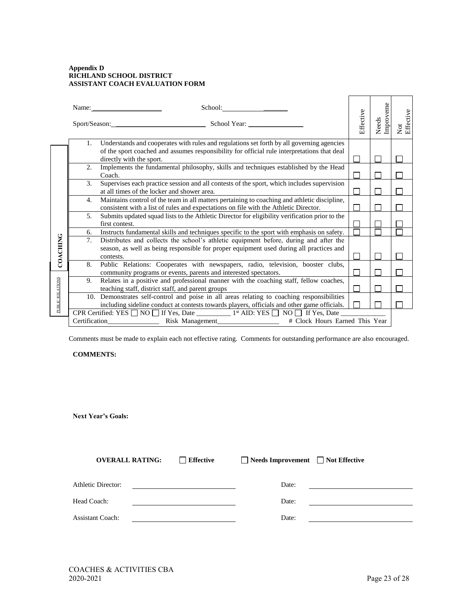#### **Appendix D RICHLAND SCHOOL DISTRICT ASSISTANT COACH EVALUATION FORM**

|                  |                | Name:<br>Sport/Season:<br>School Year:                                                                                                                                                                               | Effective | Improveme<br>Needs | Not<br>Effective |  |  |  |  |  |
|------------------|----------------|----------------------------------------------------------------------------------------------------------------------------------------------------------------------------------------------------------------------|-----------|--------------------|------------------|--|--|--|--|--|
|                  | 1.             | Understands and cooperates with rules and regulations set forth by all governing agencies<br>of the sport coached and assumes responsibility for official rule interpretations that deal<br>directly with the sport. |           |                    |                  |  |  |  |  |  |
|                  | 2.             | Implements the fundamental philosophy, skills and techniques established by the Head<br>Coach.                                                                                                                       |           |                    |                  |  |  |  |  |  |
|                  | 3.             | Supervises each practice session and all contests of the sport, which includes supervision<br>at all times of the locker and shower area.                                                                            |           |                    |                  |  |  |  |  |  |
|                  | 4.             | Maintains control of the team in all matters pertaining to coaching and athletic discipline,<br>consistent with a list of rules and expectations on file with the Athletic Director.                                 |           |                    |                  |  |  |  |  |  |
|                  | 5.             | Submits updated squad lists to the Athletic Director for eligibility verification prior to the<br>first contest.                                                                                                     |           |                    |                  |  |  |  |  |  |
|                  | 6.             | Instructs fundamental skills and techniques specific to the sport with emphasis on safety.                                                                                                                           |           |                    |                  |  |  |  |  |  |
| <b>COACHING</b>  | 7 <sub>1</sub> | Distributes and collects the school's athletic equipment before, during and after the<br>season, as well as being responsible for proper equipment used during all practices and<br>contests.                        |           |                    |                  |  |  |  |  |  |
|                  | 8.             | Public Relations: Cooperates with newspapers, radio, television, booster clubs,<br>community programs or events, parents and interested spectators.                                                                  |           |                    |                  |  |  |  |  |  |
|                  | 9.             | Relates in a positive and professional manner with the coaching staff, fellow coaches,<br>teaching staff, district staff, and parent groups                                                                          |           |                    |                  |  |  |  |  |  |
| PUBLIC RELATIONS |                | 10. Demonstrates self-control and poise in all areas relating to coaching responsibilities<br>including sideline conduct at contests towards players, officials and other game officials.                            |           |                    |                  |  |  |  |  |  |
|                  |                | # Clock Hours Earned This Year<br><b>Certification</b><br>Risk Management                                                                                                                                            |           |                    |                  |  |  |  |  |  |

Comments must be made to explain each not effective rating. Comments for outstanding performance are also encouraged.

#### **COMMENTS:**

**Next Year's Goals:**

| <b>OVERALL RATING:</b>    | $\Box$ Effective | $\Box$ Needs Improvement $\Box$ Not Effective |  |
|---------------------------|------------------|-----------------------------------------------|--|
| <b>Athletic Director:</b> |                  | Date:                                         |  |
| Head Coach:               |                  | Date:                                         |  |
| <b>Assistant Coach:</b>   |                  | Date:                                         |  |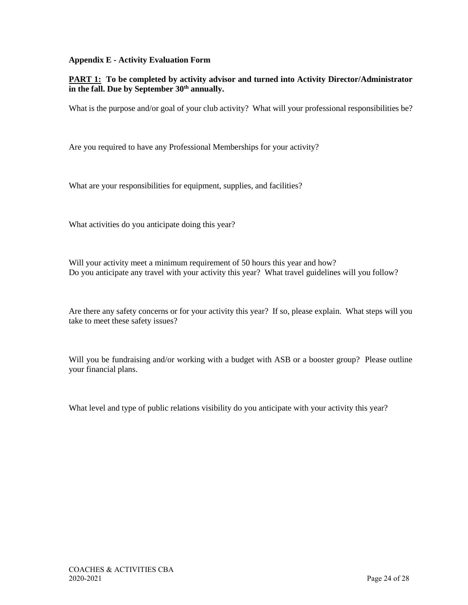### **Appendix E - Activity Evaluation Form**

### **PART 1: To be completed by activity advisor and turned into Activity Director/Administrator in the fall. Due by September 30th annually.**

What is the purpose and/or goal of your club activity? What will your professional responsibilities be?

Are you required to have any Professional Memberships for your activity?

What are your responsibilities for equipment, supplies, and facilities?

What activities do you anticipate doing this year?

Will your activity meet a minimum requirement of 50 hours this year and how? Do you anticipate any travel with your activity this year? What travel guidelines will you follow?

Are there any safety concerns or for your activity this year? If so, please explain. What steps will you take to meet these safety issues?

Will you be fundraising and/or working with a budget with ASB or a booster group? Please outline your financial plans.

What level and type of public relations visibility do you anticipate with your activity this year?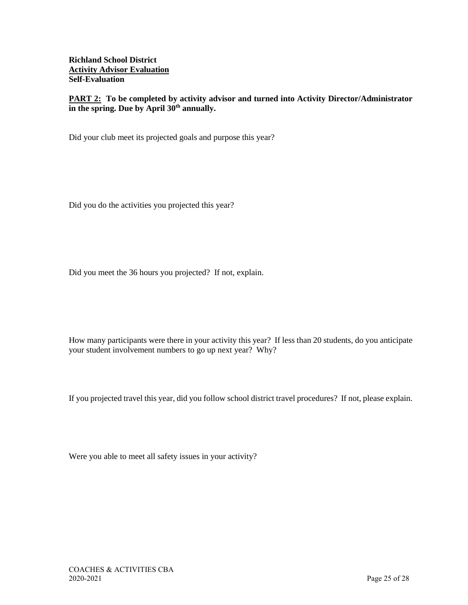**Richland School District Activity Advisor Evaluation Self-Evaluation**

**PART 2:** To be completed by activity advisor and turned into Activity Director/Administrator **in the spring. Due by April 30th annually.**

Did your club meet its projected goals and purpose this year?

Did you do the activities you projected this year?

Did you meet the 36 hours you projected? If not, explain.

How many participants were there in your activity this year? If less than 20 students, do you anticipate your student involvement numbers to go up next year? Why?

If you projected travel this year, did you follow school district travel procedures? If not, please explain.

Were you able to meet all safety issues in your activity?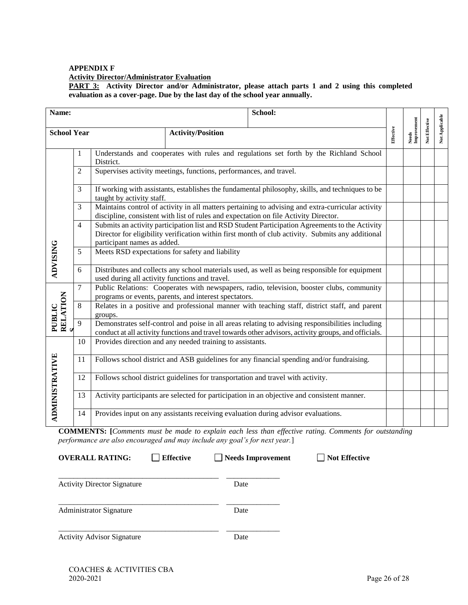## **APPENDIX F Activity Director/Administrator Evaluation**

**PART 3: Activity Director and/or Administrator, please attach parts 1 and 2 using this completed evaluation as a cover-page. Due by the last day of the school year annually.**

| Name:                 |                | School:                                                                                                                                                                                                                             |  |  |                      |               |                |
|-----------------------|----------------|-------------------------------------------------------------------------------------------------------------------------------------------------------------------------------------------------------------------------------------|--|--|----------------------|---------------|----------------|
| <b>School Year</b>    |                | <b>Activity/Position</b>                                                                                                                                                                                                            |  |  | Needs<br>Improvement | Not Effective | Not Applicable |
|                       | $\mathbf{1}$   | Understands and cooperates with rules and regulations set forth by the Richland School<br>District.                                                                                                                                 |  |  |                      |               |                |
| <b>ADVISING</b>       | $\overline{2}$ | Supervises activity meetings, functions, performances, and travel.                                                                                                                                                                  |  |  |                      |               |                |
|                       | 3              | If working with assistants, establishes the fundamental philosophy, skills, and techniques to be<br>taught by activity staff.                                                                                                       |  |  |                      |               |                |
|                       | 3              | Maintains control of activity in all matters pertaining to advising and extra-curricular activity<br>discipline, consistent with list of rules and expectation on file Activity Director.                                           |  |  |                      |               |                |
|                       | 4              | Submits an activity participation list and RSD Student Participation Agreements to the Activity<br>Director for eligibility verification within first month of club activity. Submits any additional<br>participant names as added. |  |  |                      |               |                |
|                       | 5              | Meets RSD expectations for safety and liability                                                                                                                                                                                     |  |  |                      |               |                |
|                       | 6              | Distributes and collects any school materials used, as well as being responsible for equipment<br>used during all activity functions and travel.                                                                                    |  |  |                      |               |                |
| PUBLIC<br>RELATION    | 7              | Public Relations: Cooperates with newspapers, radio, television, booster clubs, community<br>programs or events, parents, and interest spectators.                                                                                  |  |  |                      |               |                |
|                       | 8              | Relates in a positive and professional manner with teaching staff, district staff, and parent<br>groups.                                                                                                                            |  |  |                      |               |                |
|                       | 9              | Demonstrates self-control and poise in all areas relating to advising responsibilities including<br>conduct at all activity functions and travel towards other advisors, activity groups, and officials.                            |  |  |                      |               |                |
| <b>ADMINISTRATIVE</b> | 10             | Provides direction and any needed training to assistants.                                                                                                                                                                           |  |  |                      |               |                |
|                       | 11             | Follows school district and ASB guidelines for any financial spending and/or fundraising.                                                                                                                                           |  |  |                      |               |                |
|                       | 12             | Follows school district guidelines for transportation and travel with activity.                                                                                                                                                     |  |  |                      |               |                |
|                       | 13             | Activity participants are selected for participation in an objective and consistent manner.                                                                                                                                         |  |  |                      |               |                |
|                       | 14             | Provides input on any assistants receiving evaluation during advisor evaluations.                                                                                                                                                   |  |  |                      |               |                |

**COMMENTS: [***Comments must be made to explain each less than effective rating. Comments for outstanding performance are also encouraged and may include any goal's for next year.*]

**OVERALL RATING:**  $\Box$  Effective  $\Box$  Needs Improvement  $\Box$  Not Effective

| <b>Activity Director Signature</b> | Date |  |
|------------------------------------|------|--|
| <b>Administrator Signature</b>     | Date |  |
| <b>Activity Advisor Signature</b>  | Date |  |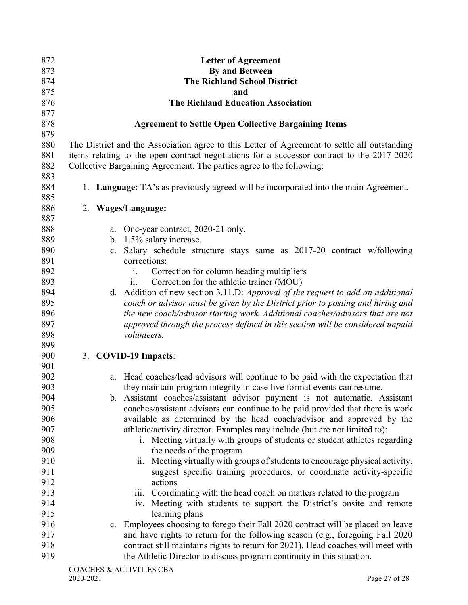| 872        |                       | <b>Letter of Agreement</b>                                                                                                                                                                 |  |  |  |
|------------|-----------------------|--------------------------------------------------------------------------------------------------------------------------------------------------------------------------------------------|--|--|--|
| 873        | <b>By and Between</b> |                                                                                                                                                                                            |  |  |  |
| 874        |                       | <b>The Richland School District</b>                                                                                                                                                        |  |  |  |
| 875        |                       | and                                                                                                                                                                                        |  |  |  |
| 876        |                       | <b>The Richland Education Association</b>                                                                                                                                                  |  |  |  |
| 877        |                       |                                                                                                                                                                                            |  |  |  |
| 878        |                       | <b>Agreement to Settle Open Collective Bargaining Items</b>                                                                                                                                |  |  |  |
| 879        |                       |                                                                                                                                                                                            |  |  |  |
| 880<br>881 |                       | The District and the Association agree to this Letter of Agreement to settle all outstanding<br>items relating to the open contract negotiations for a successor contract to the 2017-2020 |  |  |  |
| 882        |                       | Collective Bargaining Agreement. The parties agree to the following:                                                                                                                       |  |  |  |
| 883        |                       |                                                                                                                                                                                            |  |  |  |
| 884        |                       | 1. Language: TA's as previously agreed will be incorporated into the main Agreement.                                                                                                       |  |  |  |
| 885        |                       |                                                                                                                                                                                            |  |  |  |
| 886        |                       | 2. Wages/Language:                                                                                                                                                                         |  |  |  |
| 887        |                       |                                                                                                                                                                                            |  |  |  |
| 888        |                       | a. One-year contract, 2020-21 only.                                                                                                                                                        |  |  |  |
| 889        |                       | b. 1.5% salary increase.                                                                                                                                                                   |  |  |  |
| 890        |                       | Salary schedule structure stays same as 2017-20 contract w/following<br>c.                                                                                                                 |  |  |  |
| 891        |                       | corrections:                                                                                                                                                                               |  |  |  |
| 892        |                       | Correction for column heading multipliers<br>1.                                                                                                                                            |  |  |  |
| 893        |                       | Correction for the athletic trainer (MOU)<br>11.                                                                                                                                           |  |  |  |
| 894        |                       | d. Addition of new section 3.11.D: Approval of the request to add an additional                                                                                                            |  |  |  |
| 895        |                       | coach or advisor must be given by the District prior to posting and hiring and                                                                                                             |  |  |  |
| 896        |                       | the new coach/advisor starting work. Additional coaches/advisors that are not                                                                                                              |  |  |  |
| 897        |                       | approved through the process defined in this section will be considered unpaid                                                                                                             |  |  |  |
| 898        |                       | volunteers.                                                                                                                                                                                |  |  |  |
| 899        |                       |                                                                                                                                                                                            |  |  |  |
| 900        |                       | 3. COVID-19 Impacts:                                                                                                                                                                       |  |  |  |
| 901        |                       |                                                                                                                                                                                            |  |  |  |
| 902        |                       | Head coaches/lead advisors will continue to be paid with the expectation that<br>a.                                                                                                        |  |  |  |
| 903        |                       | they maintain program integrity in case live format events can resume.                                                                                                                     |  |  |  |
| 904        |                       | b. Assistant coaches/assistant advisor payment is not automatic. Assistant                                                                                                                 |  |  |  |
| 905        |                       | coaches/assistant advisors can continue to be paid provided that there is work                                                                                                             |  |  |  |
| 906        |                       | available as determined by the head coach/advisor and approved by the                                                                                                                      |  |  |  |
| 907        |                       | athletic/activity director. Examples may include (but are not limited to):                                                                                                                 |  |  |  |
| 908        |                       | i. Meeting virtually with groups of students or student athletes regarding                                                                                                                 |  |  |  |
| 909        |                       |                                                                                                                                                                                            |  |  |  |
| 910        |                       | the needs of the program<br>Meeting virtually with groups of students to encourage physical activity,                                                                                      |  |  |  |
| 911        |                       | $\overline{11}$ .                                                                                                                                                                          |  |  |  |
|            |                       | suggest specific training procedures, or coordinate activity-specific                                                                                                                      |  |  |  |
| 912        |                       | actions                                                                                                                                                                                    |  |  |  |
| 913        |                       | iii. Coordinating with the head coach on matters related to the program                                                                                                                    |  |  |  |
| 914        |                       | iv. Meeting with students to support the District's onsite and remote                                                                                                                      |  |  |  |
| 915        |                       | learning plans                                                                                                                                                                             |  |  |  |
| 916        |                       | c. Employees choosing to forego their Fall 2020 contract will be placed on leave                                                                                                           |  |  |  |
| 917        |                       | and have rights to return for the following season (e.g., foregoing Fall 2020                                                                                                              |  |  |  |
| 918        |                       | contract still maintains rights to return for 2021). Head coaches will meet with                                                                                                           |  |  |  |
| 919        |                       | the Athletic Director to discuss program continuity in this situation.                                                                                                                     |  |  |  |
|            |                       | CO A CHEC & A CTIVITIES CD A                                                                                                                                                               |  |  |  |